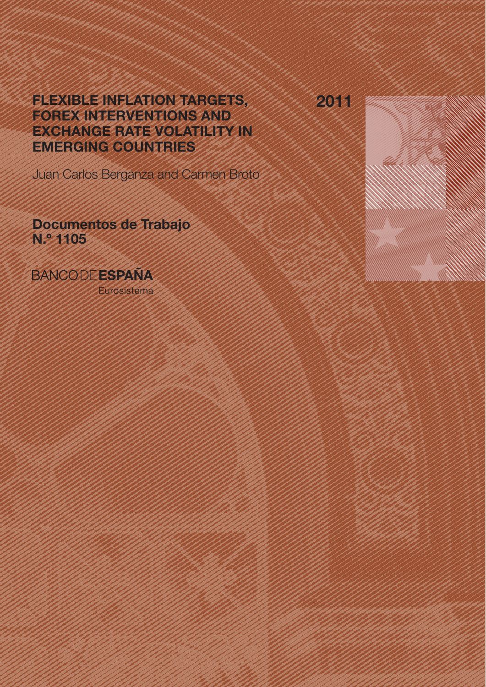2011

# FLEXIBLE INFLATION TARGETS, FOREX INTERVENTIONS AND EXCHANGE RATE VOLATILITY IN EMERGING COUNTRIES

Juan Carlos Berganza and Carmen Broto

Documentos de Trabajo N.º 1105

**BANCODEESPAÑA** 

Eurosistema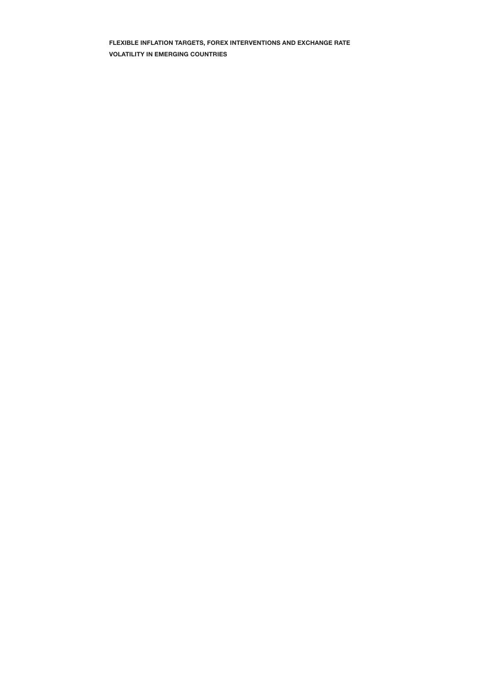FLEXIBLE INFLATION TARGETS, FOREX INTERVENTIONS AND EXCHANGE RATE VOLATILITY IN EMERGING COUNTRIES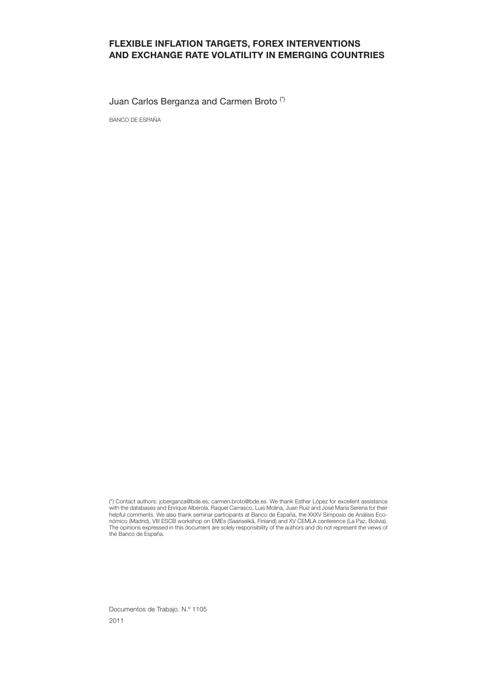#### FLEXIBLE INFLATION TARGETS, FOREX INTERVENTIONS AND EXCHANGE RATE VOLATILITY IN EMERGING COUNTRIES

Juan Carlos Berganza and Carmen Broto (\*)

BANCO DE ESPAÑA

Documentos de Trabajo. N.º 1105 2011

<sup>(\*)</sup> Contact authors: jcberganza@bde.es; carmen.broto@bde.es. We thank Esther López for excellent assistance with the databases and Enrique Alberola, Raquel Carrasco, Luis Molina, Juan Ruiz and José María Serena for their helpful comments. We also thank seminar participants at Banco de España, the XXXV Simposio de Análisis Económico (Madrid), VIII ESCB workshop on EMEs (Saariselkä, Finland) and XV CEMLA conference (La Paz, Bolivia). The opinions expressed in this document are solely responsibility of the authors and do not represent the views of the Banco de España.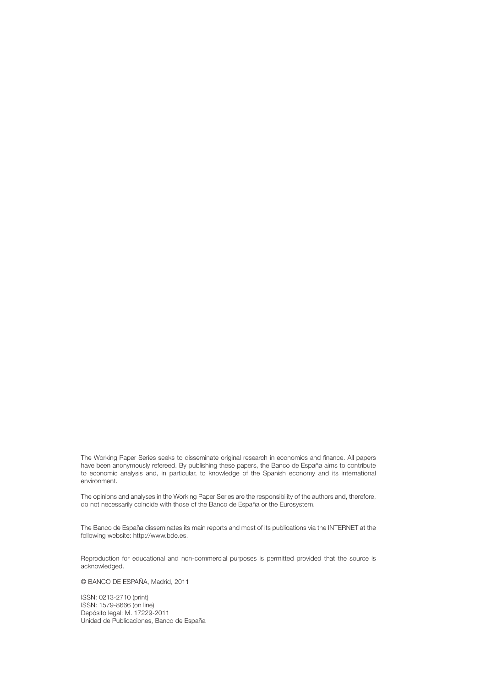The Working Paper Series seeks to disseminate original research in economics and finance. All papers have been anonymously refereed. By publishing these papers, the Banco de España aims to contribute to economic analysis and, in particular, to knowledge of the Spanish economy and its international environment.

The opinions and analyses in the Working Paper Series are the responsibility of the authors and, therefore, do not necessarily coincide with those of the Banco de España or the Eurosystem.

The Banco de España disseminates its main reports and most of its publications via the INTERNET at the following website: http://www.bde.es.

Reproduction for educational and non-commercial purposes is permitted provided that the source is acknowledged.

© BANCO DE ESPAÑA, Madrid, 2011

ISSN: 0213-2710 (print) ISSN: 1579-8666 (on line) Depósito legal: M. 17229-2011 Unidad de Publicaciones, Banco de España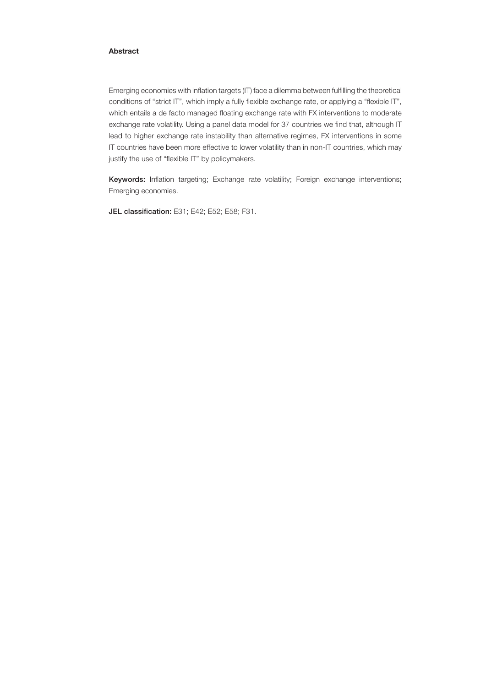#### Abstract

Emerging economies with inflation targets (IT) face a dilemma between fulfilling the theoretical conditions of "strict IT", which imply a fully flexible exchange rate, or applying a "flexible IT", which entails a de facto managed floating exchange rate with FX interventions to moderate exchange rate volatility. Using a panel data model for 37 countries we find that, although IT lead to higher exchange rate instability than alternative regimes, FX interventions in some IT countries have been more effective to lower volatility than in non-IT countries, which may justify the use of "flexible IT" by policymakers.

Keywords: Inflation targeting; Exchange rate volatility; Foreign exchange interventions; Emerging economies.

JEL classification: E31; E42; E52; E58; F31.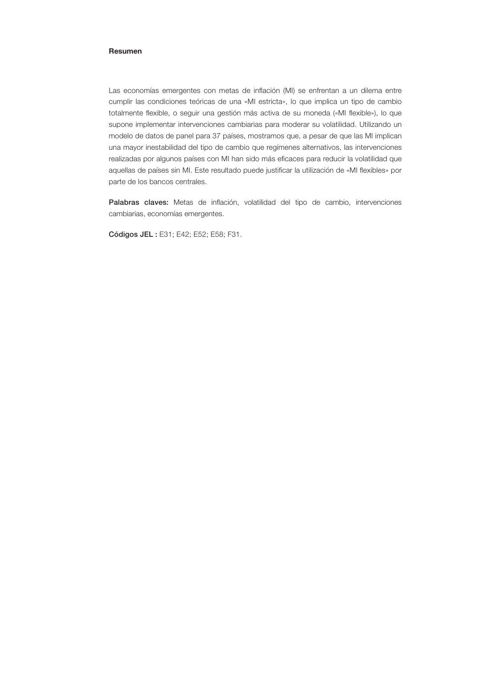#### Resumen

Las economías emergentes con metas de inflación (MI) se enfrentan a un dilema entre cumplir las condiciones teóricas de una «MI estricta», lo que implica un tipo de cambio totalmente flexible, o seguir una gestión más activa de su moneda («MI flexible»), lo que supone implementar intervenciones cambiarias para moderar su volatilidad. Utilizando un modelo de datos de panel para 37 países, mostramos que, a pesar de que las MI implican una mayor inestabilidad del tipo de cambio que regímenes alternativos, las intervenciones realizadas por algunos países con MI han sido más eficaces para reducir la volatilidad que aquellas de países sin MI. Este resultado puede justificar la utilización de «MI flexibles» por parte de los bancos centrales.

Palabras claves: Metas de inflación, volatilidad del tipo de cambio, intervenciones cambiarias, economías emergentes.

Códigos JEL : E31; E42; E52; E58; F31.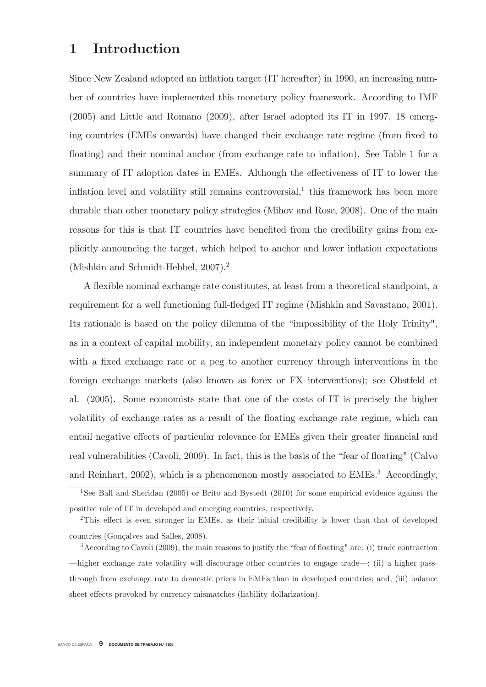## 1 Introduction

Since New Zealand adopted an inflation target (IT hereafter) in 1990, an increasing number of countries have implemented this monetary policy framework. According to IMF (2005) and Little and Romano (2009), after Israel adopted its IT in 1997, 18 emerging countries (EMEs onwards) have changed their exchange rate regime (from fixed to floating) and their nominal anchor (from exchange rate to inflation). See Table 1 for a summary of IT adoption dates in EMEs. Although the effectiveness of IT to lower the inflation level and volatility still remains controversial, $<sup>1</sup>$  this framework has been more</sup> durable than other monetary policy strategies (Mihov and Rose, 2008). One of the main reasons for this is that IT countries have benefited from the credibility gains from explicitly announcing the target, which helped to anchor and lower inflation expectations (Mishkin and Schmidt-Hebbel, 2007).2

A flexible nominal exchange rate constitutes, at least from a theoretical standpoint, a requirement for a well functioning full-fledged IT regime (Mishkin and Savastano, 2001). Its rationale is based on the policy dilemma of the "impossibility of the Holy Trinity", as in a context of capital mobility, an independent monetary policy cannot be combined with a fixed exchange rate or a peg to another currency through interventions in the foreign exchange markets (also known as forex or FX interventions); see Obstfeld et al. (2005). Some economists state that one of the costs of IT is precisely the higher volatility of exchange rates as a result of the floating exchange rate regime, which can entail negative effects of particular relevance for EMEs given their greater financial and real vulnerabilities (Cavoli, 2009). In fact, this is the basis of the "fear of floating" (Calvo and Reinhart, 2002), which is a phenomenon mostly associated to EMEs.<sup>3</sup> Accordingly,

<sup>&</sup>lt;sup>1</sup>See Ball and Sheridan (2005) or Brito and Bystedt (2010) for some empirical evidence against the positive role of IT in developed and emerging countries, respectively.

<sup>2</sup>This effect is even stronger in EMEs, as their initial credibility is lower than that of developed countries (Gonçalves and Salles, 2008).

<sup>3</sup>According to Cavoli (2009), the main reasons to justify the "fear of floating" are: (i) trade contraction –higher exchange rate volatility will discourage other countries to engage trade–; (ii) a higher passthrough from exchange rate to domestic prices in EMEs than in developed countries; and, (iii) balance sheet effects provoked by currency mismatches (liability dollarization).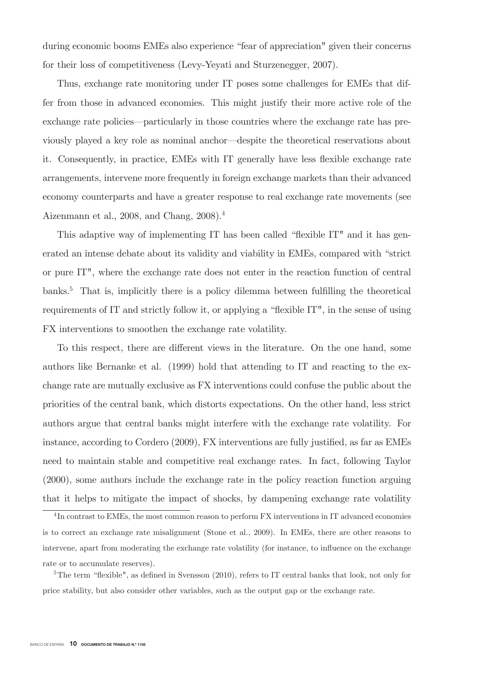during economic booms EMEs also experience "fear of appreciation" given their concerns for their loss of competitiveness (Levy-Yeyati and Sturzenegger, 2007).

Thus, exchange rate monitoring under IT poses some challenges for EMEs that differ from those in advanced economies. This might justify their more active role of the exchange rate policies–particularly in those countries where the exchange rate has previously played a key role as nominal anchor–despite the theoretical reservations about it. Consequently, in practice, EMEs with IT generally have less flexible exchange rate arrangements, intervene more frequently in foreign exchange markets than their advanced economy counterparts and have a greater response to real exchange rate movements (see Aizenmann et al., 2008, and Chang, 2008).4

This adaptive way of implementing IT has been called "flexible IT" and it has generated an intense debate about its validity and viability in EMEs, compared with "strict or pure IT", where the exchange rate does not enter in the reaction function of central banks.<sup>5</sup> That is, implicitly there is a policy dilemma between fulfilling the theoretical requirements of IT and strictly follow it, or applying a "flexible IT", in the sense of using FX interventions to smoothen the exchange rate volatility.

To this respect, there are different views in the literature. On the one hand, some authors like Bernanke et al. (1999) hold that attending to IT and reacting to the exchange rate are mutually exclusive as FX interventions could confuse the public about the priorities of the central bank, which distorts expectations. On the other hand, less strict authors argue that central banks might interfere with the exchange rate volatility. For instance, according to Cordero (2009), FX interventions are fully justified, as far as EMEs need to maintain stable and competitive real exchange rates. In fact, following Taylor (2000), some authors include the exchange rate in the policy reaction function arguing that it helps to mitigate the impact of shocks, by dampening exchange rate volatility

<sup>4</sup> In contrast to EMEs, the most common reason to perform FX interventions in IT advanced economies is to correct an exchange rate misalignment (Stone et al., 2009). In EMEs, there are other reasons to intervene, apart from moderating the exchange rate volatility (for instance, to influence on the exchange rate or to accumulate reserves).

<sup>&</sup>lt;sup>5</sup>The term "flexible", as defined in Svensson (2010), refers to IT central banks that look, not only for price stability, but also consider other variables, such as the output gap or the exchange rate.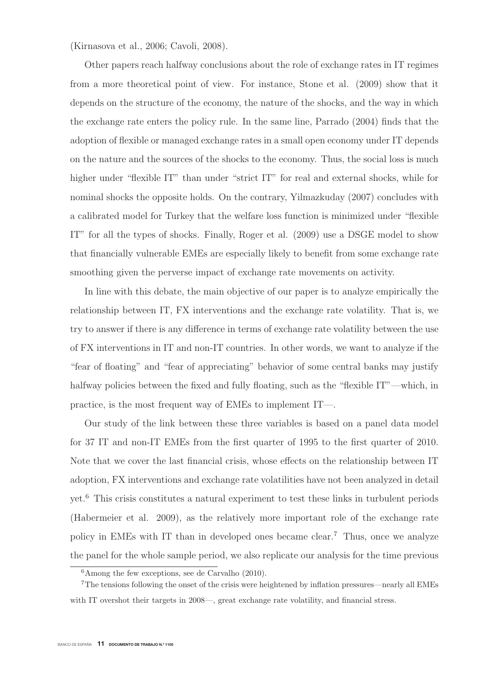(Kirnasova et al., 2006; Cavoli, 2008).

Other papers reach halfway conclusions about the role of exchange rates in IT regimes from a more theoretical point of view. For instance, Stone et al. (2009) show that it depends on the structure of the economy, the nature of the shocks, and the way in which the exchange rate enters the policy rule. In the same line, Parrado (2004) finds that the adoption of flexible or managed exchange rates in a small open economy under IT depends on the nature and the sources of the shocks to the economy. Thus, the social loss is much higher under "flexible IT" than under "strict IT" for real and external shocks, while for nominal shocks the opposite holds. On the contrary, Yilmazkuday (2007) concludes with a calibrated model for Turkey that the welfare loss function is minimized under "flexible IT" for all the types of shocks. Finally, Roger et al. (2009) use a DSGE model to show that financially vulnerable EMEs are especially likely to benefit from some exchange rate smoothing given the perverse impact of exchange rate movements on activity.

In line with this debate, the main objective of our paper is to analyze empirically the relationship between IT, FX interventions and the exchange rate volatility. That is, we try to answer if there is any difference in terms of exchange rate volatility between the use of FX interventions in IT and non-IT countries. In other words, we want to analyze if the "fear of floating" and "fear of appreciating" behavior of some central banks may justify halfway policies between the fixed and fully floating, such as the "flexible IT"—which, in practice, is the most frequent way of EMEs to implement IT—.

Our study of the link between these three variables is based on a panel data model for 37 IT and non-IT EMEs from the first quarter of 1995 to the first quarter of 2010. Note that we cover the last financial crisis, whose effects on the relationship between IT adoption, FX interventions and exchange rate volatilities have not been analyzed in detail yet.<sup>6</sup> This crisis constitutes a natural experiment to test these links in turbulent periods (Habermeier et al. 2009), as the relatively more important role of the exchange rate policy in EMEs with IT than in developed ones became clear.<sup>7</sup> Thus, once we analyze the panel for the whole sample period, we also replicate our analysis for the time previous

 $6$ Among the few exceptions, see de Carvalho  $(2010)$ .

<sup>7</sup>The tensions following the onset of the crisis were heightened by inflation pressures—nearly all EMEs with IT overshot their targets in 2008—, great exchange rate volatility, and financial stress.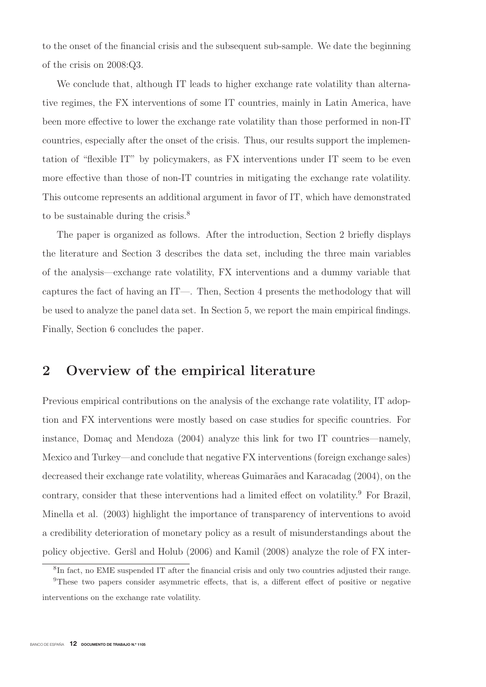to the onset of the financial crisis and the subsequent sub-sample. We date the beginning of the crisis on 2008:Q3.

We conclude that, although IT leads to higher exchange rate volatility than alternative regimes, the FX interventions of some IT countries, mainly in Latin America, have been more effective to lower the exchange rate volatility than those performed in non-IT countries, especially after the onset of the crisis. Thus, our results support the implementation of "flexible IT" by policymakers, as FX interventions under IT seem to be even more effective than those of non-IT countries in mitigating the exchange rate volatility. This outcome represents an additional argument in favor of IT, which have demonstrated to be sustainable during the crisis.<sup>8</sup>

The paper is organized as follows. After the introduction, Section 2 briefly displays the literature and Section 3 describes the data set, including the three main variables of the analysis—exchange rate volatility, FX interventions and a dummy variable that captures the fact of having an IT—. Then, Section 4 presents the methodology that will be used to analyze the panel data set. In Section 5, we report the main empirical findings. Finally, Section 6 concludes the paper.

## **2 Overview of the empirical literature**

Previous empirical contributions on the analysis of the exchange rate volatility, IT adoption and FX interventions were mostly based on case studies for specific countries. For instance, Domaç and Mendoza  $(2004)$  analyze this link for two IT countries—namely, Mexico and Turkey—and conclude that negative FX interventions (foreign exchange sales) decreased their exchange rate volatility, whereas Guimarães and Karacadag (2004), on the contrary, consider that these interventions had a limited effect on volatility.<sup>9</sup> For Brazil, Minella et al. (2003) highlight the importance of transparency of interventions to avoid a credibility deterioration of monetary policy as a result of misunderstandings about the policy objective. Geršl and Holub (2006) and Kamil (2008) analyze the role of FX inter-

<sup>8</sup>In fact, no EME suspended IT after the financial crisis and only two countries adjusted their range.

<sup>9</sup>These two papers consider asymmetric effects, that is, a different effect of positive or negative interventions on the exchange rate volatility.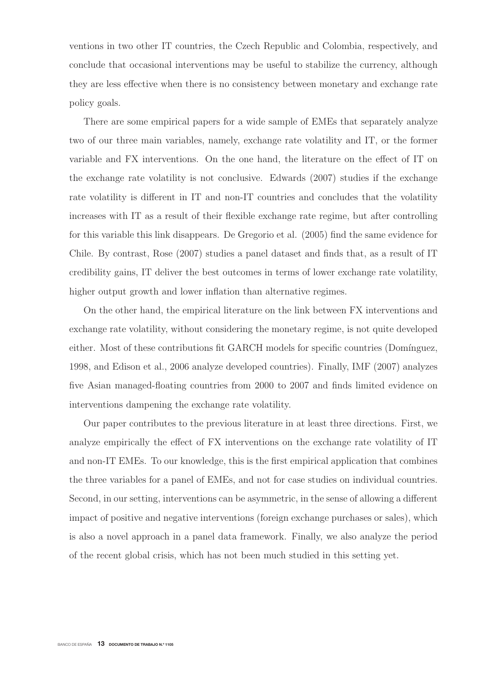ventions in two other IT countries, the Czech Republic and Colombia, respectively, and conclude that occasional interventions may be useful to stabilize the currency, although they are less effective when there is no consistency between monetary and exchange rate policy goals.

There are some empirical papers for a wide sample of EMEs that separately analyze two of our three main variables, namely, exchange rate volatility and IT, or the former variable and FX interventions. On the one hand, the literature on the effect of IT on the exchange rate volatility is not conclusive. Edwards (2007) studies if the exchange rate volatility is different in IT and non-IT countries and concludes that the volatility increases with IT as a result of their flexible exchange rate regime, but after controlling for this variable this link disappears. De Gregorio et al. (2005) find the same evidence for Chile. By contrast, Rose (2007) studies a panel dataset and finds that, as a result of IT credibility gains, IT deliver the best outcomes in terms of lower exchange rate volatility, higher output growth and lower inflation than alternative regimes.

On the other hand, the empirical literature on the link between FX interventions and exchange rate volatility, without considering the monetary regime, is not quite developed either. Most of these contributions fit GARCH models for specific countries (Domínguez, 1998, and Edison et al., 2006 analyze developed countries). Finally, IMF (2007) analyzes five Asian managed-floating countries from 2000 to 2007 and finds limited evidence on interventions dampening the exchange rate volatility.

Our paper contributes to the previous literature in at least three directions. First, we analyze empirically the effect of FX interventions on the exchange rate volatility of IT and non-IT EMEs. To our knowledge, this is the first empirical application that combines the three variables for a panel of EMEs, and not for case studies on individual countries. Second, in our setting, interventions can be asymmetric, in the sense of allowing a different impact of positive and negative interventions (foreign exchange purchases or sales), which is also a novel approach in a panel data framework. Finally, we also analyze the period of the recent global crisis, which has not been much studied in this setting yet.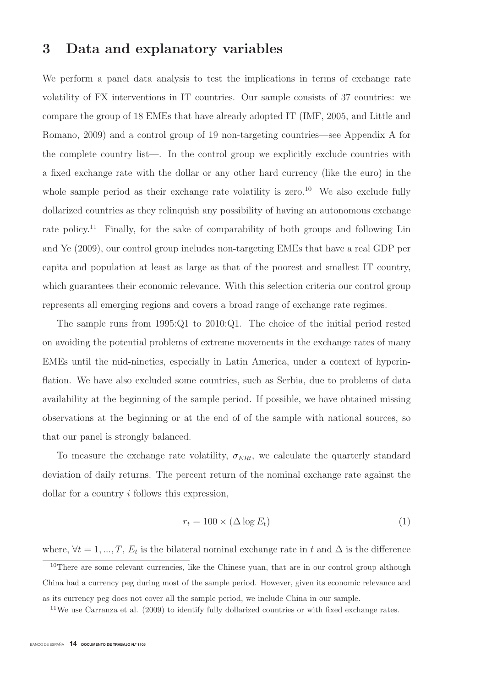### **3 Data and explanatory variables**

We perform a panel data analysis to test the implications in terms of exchange rate volatility of FX interventions in IT countries. Our sample consists of 37 countries: we compare the group of 18 EMEs that have already adopted IT (IMF, 2005, and Little and Romano, 2009) and a control group of 19 non-targeting countries—see Appendix A for the complete country list—. In the control group we explicitly exclude countries with a fixed exchange rate with the dollar or any other hard currency (like the euro) in the whole sample period as their exchange rate volatility is zero.<sup>10</sup> We also exclude fully dollarized countries as they relinquish any possibility of having an autonomous exchange rate policy.<sup>11</sup> Finally, for the sake of comparability of both groups and following Lin and Ye (2009), our control group includes non-targeting EMEs that have a real GDP per capita and population at least as large as that of the poorest and smallest IT country, which guarantees their economic relevance. With this selection criteria our control group represents all emerging regions and covers a broad range of exchange rate regimes.

The sample runs from 1995:Q1 to 2010:Q1. The choice of the initial period rested on avoiding the potential problems of extreme movements in the exchange rates of many EMEs until the mid-nineties, especially in Latin America, under a context of hyperinflation. We have also excluded some countries, such as Serbia, due to problems of data availability at the beginning of the sample period. If possible, we have obtained missing observations at the beginning or at the end of of the sample with national sources, so that our panel is strongly balanced.

To measure the exchange rate volatility,  $\sigma_{ERt}$ , we calculate the quarterly standard deviation of daily returns. The percent return of the nominal exchange rate against the dollar for a country i follows this expression,

$$
r_t = 100 \times (\Delta \log E_t) \tag{1}
$$

where,  $\forall t = 1, ..., T$ ,  $E_t$  is the bilateral nominal exchange rate in t and  $\Delta$  is the difference

<sup>10</sup>There are some relevant currencies, like the Chinese yuan, that are in our control group although China had a currency peg during most of the sample period. However, given its economic relevance and as its currency peg does not cover all the sample period, we include China in our sample.

<sup>&</sup>lt;sup>11</sup>We use Carranza et al. (2009) to identify fully dollarized countries or with fixed exchange rates.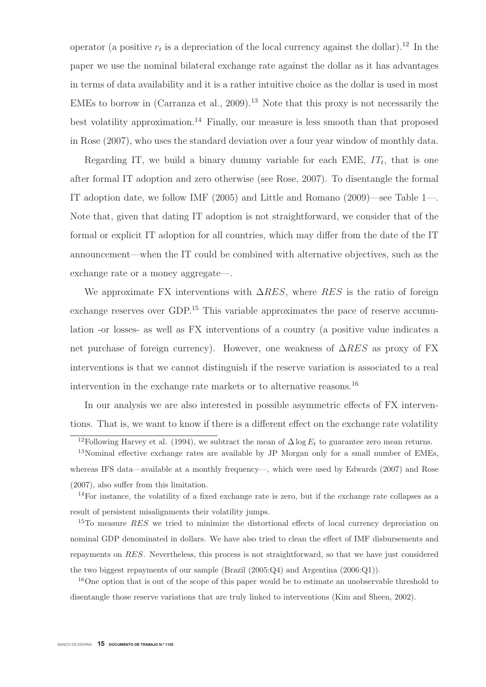operator (a positive  $r_t$  is a depreciation of the local currency against the dollar).<sup>12</sup> In the paper we use the nominal bilateral exchange rate against the dollar as it has advantages in terms of data availability and it is a rather intuitive choice as the dollar is used in most EMEs to borrow in  $(Carranza et al., 2009).<sup>13</sup>$  Note that this proxy is not necessarily the best volatility approximation.<sup>14</sup> Finally, our measure is less smooth than that proposed in Rose (2007), who uses the standard deviation over a four year window of monthly data.

Regarding IT, we build a binary dummy variable for each EME,  $IT_t$ , that is one after formal IT adoption and zero otherwise (see Rose, 2007). To disentangle the formal IT adoption date, we follow IMF (2005) and Little and Romano (2009)—see Table 1—. Note that, given that dating IT adoption is not straightforward, we consider that of the formal or explicit IT adoption for all countries, which may differ from the date of the IT announcement—when the IT could be combined with alternative objectives, such as the exchange rate or a money aggregate—.

We approximate FX interventions with  $\Delta RES$ , where RES is the ratio of foreign exchange reserves over GDP.<sup>15</sup> This variable approximates the pace of reserve accumulation -or losses- as well as FX interventions of a country (a positive value indicates a net purchase of foreign currency). However, one weakness of  $\Delta RES$  as proxy of FX interventions is that we cannot distinguish if the reserve variation is associated to a real intervention in the exchange rate markets or to alternative reasons.<sup>16</sup>

In our analysis we are also interested in possible asymmetric effects of FX interventions. That is, we want to know if there is a different effect on the exchange rate volatility

(2007), also suffer from this limitation.

<sup>14</sup>For instance, the volatility of a fixed exchange rate is zero, but if the exchange rate collapses as a result of persistent misalignments their volatility jumps.

<sup>15</sup>To measure  $RES$  we tried to minimize the distortional effects of local currency depreciation on nominal GDP denominated in dollars. We have also tried to clean the effect of IMF disbursements and repayments on RES. Nevertheless, this process is not straightforward, so that we have just considered the two biggest repayments of our sample (Brazil (2005:Q4) and Argentina (2006:Q1)).

<sup>16</sup>One option that is out of the scope of this paper would be to estimate an unobservable threshold to disentangle those reserve variations that are truly linked to interventions (Kim and Sheen, 2002).

<sup>&</sup>lt;sup>12</sup>Following Harvey et al. (1994), we subtract the mean of  $\Delta \log E_t$  to guarantee zero mean returns.

<sup>13</sup>Nominal effective exchange rates are available by JP Morgan only for a small number of EMEs, whereas IFS data—available at a monthly frequency—, which were used by Edwards (2007) and Rose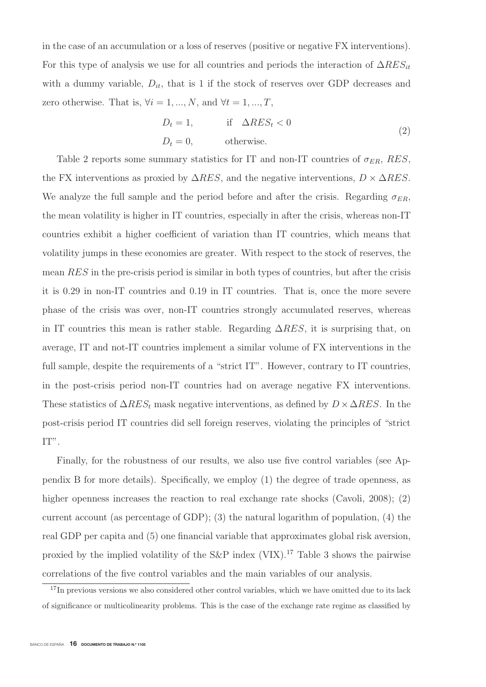in the case of an accumulation or a loss of reserves (positive or negative FX interventions). For this type of analysis we use for all countries and periods the interaction of  $\Delta \text{RES}_{it}$ with a dummy variable,  $D_{it}$ , that is 1 if the stock of reserves over GDP decreases and zero otherwise. That is,  $\forall i = 1, ..., N$ , and  $\forall t = 1, ..., T$ ,

$$
D_t = 1, \t\t \text{if } \Delta RES_t < 0
$$
  

$$
D_t = 0, \t\t \text{otherwise.}
$$
 (2)

Table 2 reports some summary statistics for IT and non-IT countries of  $\sigma_{ER}$ , RES, the FX interventions as proxied by  $\Delta RES$ , and the negative interventions,  $D \times \Delta RES$ . We analyze the full sample and the period before and after the crisis. Regarding  $\sigma_{ER}$ , the mean volatility is higher in IT countries, especially in after the crisis, whereas non-IT countries exhibit a higher coefficient of variation than IT countries, which means that volatility jumps in these economies are greater. With respect to the stock of reserves, the mean RES in the pre-crisis period is similar in both types of countries, but after the crisis it is 0.29 in non-IT countries and 0.19 in IT countries. That is, once the more severe phase of the crisis was over, non-IT countries strongly accumulated reserves, whereas in IT countries this mean is rather stable. Regarding  $\Delta RES$ , it is surprising that, on average, IT and not-IT countries implement a similar volume of FX interventions in the full sample, despite the requirements of a "strict IT". However, contrary to IT countries, in the post-crisis period non-IT countries had on average negative FX interventions. These statistics of  $\Delta RES_t$  mask negative interventions, as defined by  $D \times \Delta RES$ . In the post-crisis period IT countries did sell foreign reserves, violating the principles of "strict IT".

Finally, for the robustness of our results, we also use five control variables (see Appendix B for more details). Specifically, we employ (1) the degree of trade openness, as higher openness increases the reaction to real exchange rate shocks (Cavoli, 2008); (2) current account (as percentage of GDP); (3) the natural logarithm of population, (4) the real GDP per capita and (5) one financial variable that approximates global risk aversion, proxied by the implied volatility of the S&P index  $(VIX)$ .<sup>17</sup> Table 3 shows the pairwise correlations of the five control variables and the main variables of our analysis.

<sup>&</sup>lt;sup>17</sup>In previous versions we also considered other control variables, which we have omitted due to its lack of significance or multicolinearity problems. This is the case of the exchange rate regime as classified by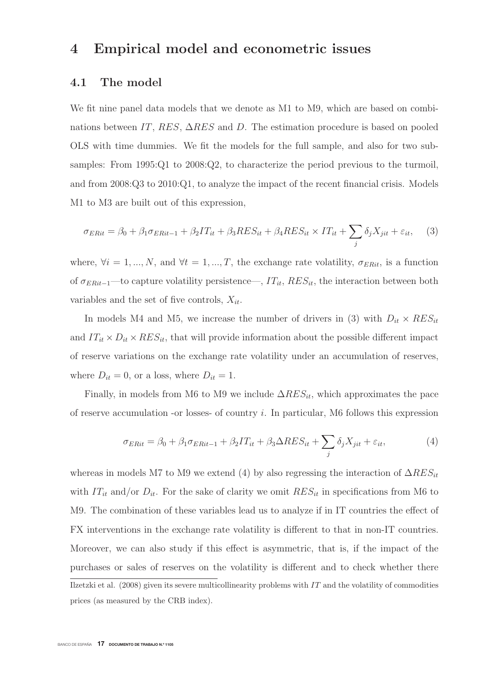### **4 Empirical model and econometric issues**

#### **4.1 The model**

We fit nine panel data models that we denote as M1 to M9, which are based on combinations between IT, RES,  $\Delta RES$  and D. The estimation procedure is based on pooled OLS with time dummies. We fit the models for the full sample, and also for two subsamples: From 1995:Q1 to 2008:Q2, to characterize the period previous to the turmoil, and from 2008:Q3 to 2010:Q1, to analyze the impact of the recent financial crisis. Models M1 to M3 are built out of this expression,

$$
\sigma_{ERit} = \beta_0 + \beta_1 \sigma_{ERit-1} + \beta_2 IT_{it} + \beta_3 RES_{it} + \beta_4 RES_{it} \times IT_{it} + \sum_j \delta_j X_{jit} + \varepsilon_{it}, \quad (3)
$$

where,  $\forall i = 1, ..., N$ , and  $\forall t = 1, ..., T$ , the exchange rate volatility,  $\sigma_{ERit}$ , is a function of  $\sigma_{ERit-1}$ —to capture volatility persistence—,  $IT_{it}$ ,  $RES_{it}$ , the interaction between both variables and the set of five controls,  $X_{it}$ .

In models M4 and M5, we increase the number of drivers in (3) with  $D_{it} \times RES_{it}$ and  $IT_{it} \times D_{it} \times RES_{it}$ , that will provide information about the possible different impact of reserve variations on the exchange rate volatility under an accumulation of reserves, where  $D_{it} = 0$ , or a loss, where  $D_{it} = 1$ .

Finally, in models from M6 to M9 we include  $\Delta RES_{it}$ , which approximates the pace of reserve accumulation -or losses- of country i. In particular,  $M6$  follows this expression

$$
\sigma_{ERit} = \beta_0 + \beta_1 \sigma_{ERit-1} + \beta_2 IT_{it} + \beta_3 \Delta RES_{it} + \sum_j \delta_j X_{jit} + \varepsilon_{it},\tag{4}
$$

whereas in models M7 to M9 we extend (4) by also regressing the interaction of  $\Delta RES_{it}$ with  $IT_{it}$  and/or  $D_{it}$ . For the sake of clarity we omit  $RES_{it}$  in specifications from M6 to M9. The combination of these variables lead us to analyze if in IT countries the effect of FX interventions in the exchange rate volatility is different to that in non-IT countries. Moreover, we can also study if this effect is asymmetric, that is, if the impact of the purchases or sales of reserves on the volatility is different and to check whether there Ilzetzki et al.  $(2008)$  given its severe multicollinearity problems with IT and the volatility of commodities prices (as measured by the CRB index).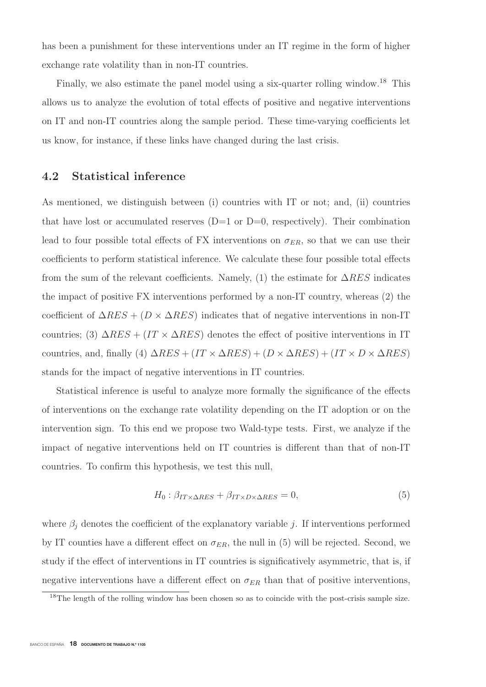has been a punishment for these interventions under an IT regime in the form of higher exchange rate volatility than in non-IT countries.

Finally, we also estimate the panel model using a six-quarter rolling window.<sup>18</sup> This allows us to analyze the evolution of total effects of positive and negative interventions on IT and non-IT countries along the sample period. These time-varying coefficients let us know, for instance, if these links have changed during the last crisis.

### **4.2 Statistical inference**

As mentioned, we distinguish between (i) countries with IT or not; and, (ii) countries that have lost or accumulated reserves  $(D=1 \text{ or } D=0,$  respectively). Their combination lead to four possible total effects of FX interventions on  $\sigma_{ER}$ , so that we can use their coefficients to perform statistical inference. We calculate these four possible total effects from the sum of the relevant coefficients. Namely, (1) the estimate for  $\Delta RES$  indicates the impact of positive FX interventions performed by a non-IT country, whereas (2) the coefficient of  $\Delta RES + (D \times \Delta RES)$  indicates that of negative interventions in non-IT countries; (3)  $\Delta RES + (IT \times \Delta RES)$  denotes the effect of positive interventions in IT countries, and, finally (4)  $\Delta RES + (IT \times \Delta RES) + (D \times \Delta RES) + (IT \times D \times \Delta RES)$ stands for the impact of negative interventions in IT countries.

Statistical inference is useful to analyze more formally the significance of the effects of interventions on the exchange rate volatility depending on the IT adoption or on the intervention sign. To this end we propose two Wald-type tests. First, we analyze if the impact of negative interventions held on IT countries is different than that of non-IT countries. To confirm this hypothesis, we test this null,

$$
H_0: \beta_{IT \times \Delta RES} + \beta_{IT \times D \times \Delta RES} = 0,\tag{5}
$$

where  $\beta_i$  denotes the coefficient of the explanatory variable j. If interventions performed by IT counties have a different effect on  $\sigma_{ER}$ , the null in (5) will be rejected. Second, we study if the effect of interventions in IT countries is significatively asymmetric, that is, if negative interventions have a different effect on  $\sigma_{ER}$  than that of positive interventions,

<sup>&</sup>lt;sup>18</sup>The length of the rolling window has been chosen so as to coincide with the post-crisis sample size.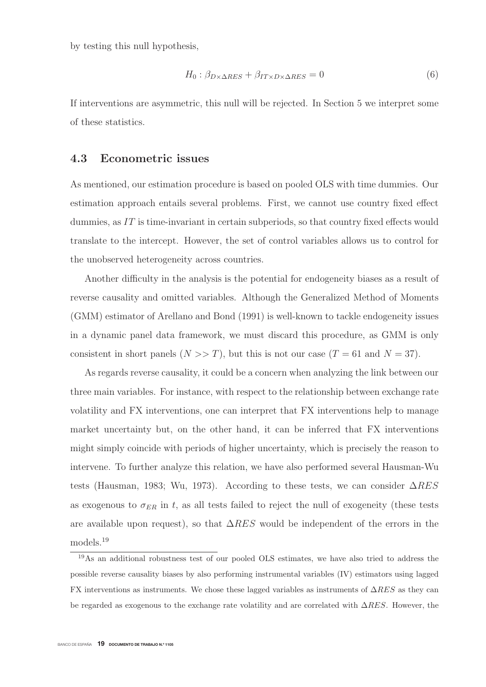by testing this null hypothesis,

$$
H_0: \beta_{D \times \Delta RES} + \beta_{IT \times D \times \Delta RES} = 0 \tag{6}
$$

If interventions are asymmetric, this null will be rejected. In Section 5 we interpret some of these statistics.

#### **4.3 Econometric issues**

As mentioned, our estimation procedure is based on pooled OLS with time dummies. Our estimation approach entails several problems. First, we cannot use country fixed effect dummies, as  $IT$  is time-invariant in certain subperiods, so that country fixed effects would translate to the intercept. However, the set of control variables allows us to control for the unobserved heterogeneity across countries.

Another difficulty in the analysis is the potential for endogeneity biases as a result of reverse causality and omitted variables. Although the Generalized Method of Moments (GMM) estimator of Arellano and Bond (1991) is well-known to tackle endogeneity issues in a dynamic panel data framework, we must discard this procedure, as GMM is only consistent in short panels  $(N \gg T)$ , but this is not our case  $(T = 61$  and  $N = 37)$ .

As regards reverse causality, it could be a concern when analyzing the link between our three main variables. For instance, with respect to the relationship between exchange rate volatility and FX interventions, one can interpret that FX interventions help to manage market uncertainty but, on the other hand, it can be inferred that FX interventions might simply coincide with periods of higher uncertainty, which is precisely the reason to intervene. To further analyze this relation, we have also performed several Hausman-Wu tests (Hausman, 1983; Wu, 1973). According to these tests, we can consider  $\Delta RES$ as exogenous to  $\sigma_{ER}$  in t, as all tests failed to reject the null of exogeneity (these tests are available upon request), so that  $\Delta RES$  would be independent of the errors in the models.<sup>19</sup>

<sup>19</sup>As an additional robustness test of our pooled OLS estimates, we have also tried to address the possible reverse causality biases by also performing instrumental variables (IV) estimators using lagged FX interventions as instruments. We chose these lagged variables as instruments of  $\Delta RES$  as they can be regarded as exogenous to the exchange rate volatility and are correlated with  $\Delta RES$ . However, the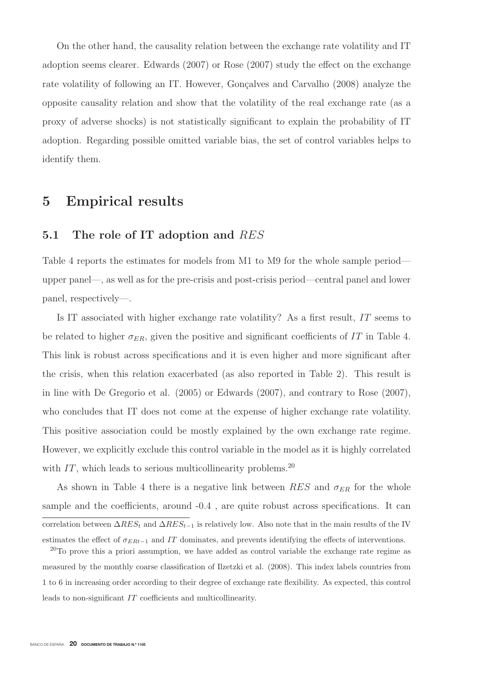On the other hand, the causality relation between the exchange rate volatility and IT adoption seems clearer. Edwards (2007) or Rose (2007) study the effect on the exchange rate volatility of following an IT. However, Gonçalves and Carvalho (2008) analyze the opposite causality relation and show that the volatility of the real exchange rate (as a proxy of adverse shocks) is not statistically significant to explain the probability of IT adoption. Regarding possible omitted variable bias, the set of control variables helps to identify them.

### **5 Empirical results**

### **5.1 The role of IT adoption and** RES

Table 4 reports the estimates for models from M1 to M9 for the whole sample period upper panel—, as well as for the pre-crisis and post-crisis period—central panel and lower panel, respectively—.

Is IT associated with higher exchange rate volatility? As a first result, IT seems to be related to higher  $\sigma_{ER}$ , given the positive and significant coefficients of IT in Table 4. This link is robust across specifications and it is even higher and more significant after the crisis, when this relation exacerbated (as also reported in Table 2). This result is in line with De Gregorio et al. (2005) or Edwards (2007), and contrary to Rose (2007), who concludes that IT does not come at the expense of higher exchange rate volatility. This positive association could be mostly explained by the own exchange rate regime. However, we explicitly exclude this control variable in the model as it is highly correlated with  $IT$ , which leads to serious multicollinearity problems.<sup>20</sup>

As shown in Table 4 there is a negative link between  $RES$  and  $\sigma_{ER}$  for the whole sample and the coefficients, around -0.4 , are quite robust across specifications. It can correlation between  $\Delta RES_t$  and  $\Delta RES_{t-1}$  is relatively low. Also note that in the main results of the IV estimates the effect of  $\sigma_{ERt-1}$  and IT dominates, and prevents identifying the effects of interventions.

 $20$ To prove this a priori assumption, we have added as control variable the exchange rate regime as measured by the monthly coarse classification of Ilzetzki et al. (2008). This index labels countries from 1 to 6 in increasing order according to their degree of exchange rate flexibility. As expected, this control leads to non-significant IT coefficients and multicollinearity.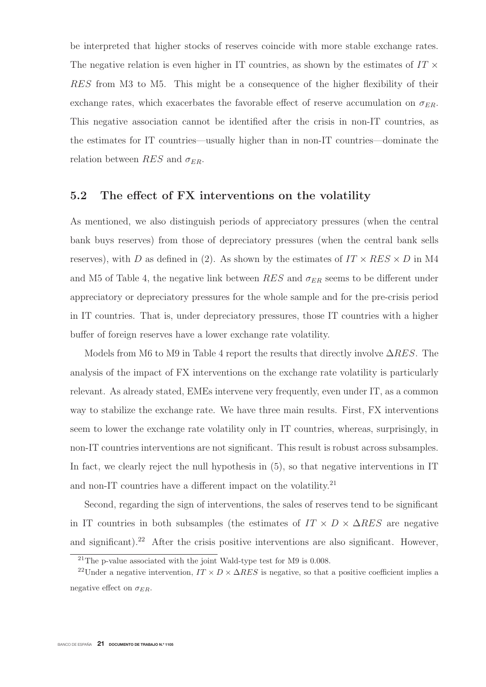be interpreted that higher stocks of reserves coincide with more stable exchange rates. The negative relation is even higher in IT countries, as shown by the estimates of  $IT \times$ RES from M3 to M5. This might be a consequence of the higher flexibility of their exchange rates, which exacerbates the favorable effect of reserve accumulation on  $\sigma_{ER}$ . This negative association cannot be identified after the crisis in non-IT countries, as the estimates for IT countries—usually higher than in non-IT countries—dominate the relation between RES and  $\sigma_{ER}$ .

#### **5.2 The effect of FX interventions on the volatility**

As mentioned, we also distinguish periods of appreciatory pressures (when the central bank buys reserves) from those of depreciatory pressures (when the central bank sells reserves), with D as defined in (2). As shown by the estimates of  $IT \times RES \times D$  in M4 and M5 of Table 4, the negative link between  $RES$  and  $\sigma_{ER}$  seems to be different under appreciatory or depreciatory pressures for the whole sample and for the pre-crisis period in IT countries. That is, under depreciatory pressures, those IT countries with a higher buffer of foreign reserves have a lower exchange rate volatility.

Models from M6 to M9 in Table 4 report the results that directly involve  $\Delta RES$ . The analysis of the impact of FX interventions on the exchange rate volatility is particularly relevant. As already stated, EMEs intervene very frequently, even under IT, as a common way to stabilize the exchange rate. We have three main results. First, FX interventions seem to lower the exchange rate volatility only in IT countries, whereas, surprisingly, in non-IT countries interventions are not significant. This result is robust across subsamples. In fact, we clearly reject the null hypothesis in (5), so that negative interventions in IT and non-IT countries have a different impact on the volatility. $21$ 

Second, regarding the sign of interventions, the sales of reserves tend to be significant in IT countries in both subsamples (the estimates of  $IT \times D \times \Delta RES$  are negative and significant).<sup>22</sup> After the crisis positive interventions are also significant. However,

<sup>21</sup>The p-value associated with the joint Wald-type test for M9 is 0.008.

<sup>&</sup>lt;sup>22</sup>Under a negative intervention,  $IT \times D \times \Delta RES$  is negative, so that a positive coefficient implies a negative effect on  $\sigma_{ER}$ .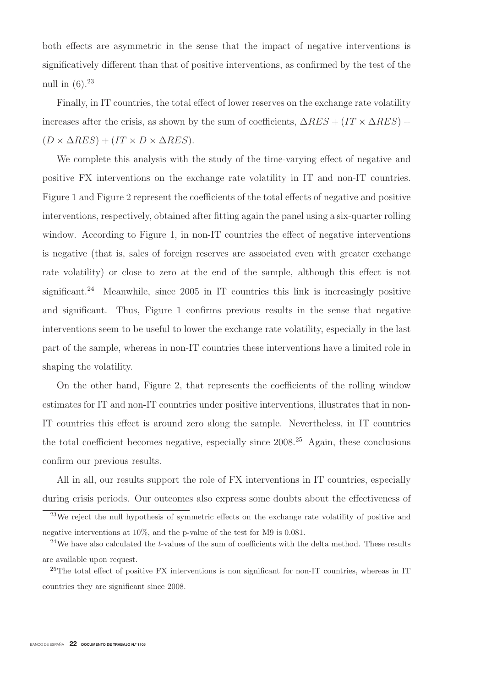both effects are asymmetric in the sense that the impact of negative interventions is significatively different than that of positive interventions, as confirmed by the test of the null in  $(6).^{23}$ 

Finally, in IT countries, the total effect of lower reserves on the exchange rate volatility increases after the crisis, as shown by the sum of coefficients,  $\Delta RES + (IT \times \Delta RES) +$  $(D \times \Delta RES) + (IT \times D \times \Delta RES).$ 

We complete this analysis with the study of the time-varying effect of negative and positive FX interventions on the exchange rate volatility in IT and non-IT countries. Figure 1 and Figure 2 represent the coefficients of the total effects of negative and positive interventions, respectively, obtained after fitting again the panel using a six-quarter rolling window. According to Figure 1, in non-IT countries the effect of negative interventions is negative (that is, sales of foreign reserves are associated even with greater exchange rate volatility) or close to zero at the end of the sample, although this effect is not significant.<sup>24</sup> Meanwhile, since  $2005$  in IT countries this link is increasingly positive and significant. Thus, Figure 1 confirms previous results in the sense that negative interventions seem to be useful to lower the exchange rate volatility, especially in the last part of the sample, whereas in non-IT countries these interventions have a limited role in shaping the volatility.

On the other hand, Figure 2, that represents the coefficients of the rolling window estimates for IT and non-IT countries under positive interventions, illustrates that in non-IT countries this effect is around zero along the sample. Nevertheless, in IT countries the total coefficient becomes negative, especially since  $2008<sup>25</sup>$  Again, these conclusions confirm our previous results.

All in all, our results support the role of FX interventions in IT countries, especially during crisis periods. Our outcomes also express some doubts about the effectiveness of

<sup>&</sup>lt;sup>23</sup>We reject the null hypothesis of symmetric effects on the exchange rate volatility of positive and negative interventions at 10%, and the p-value of the test for M9 is 0.081.

<sup>&</sup>lt;sup>24</sup>We have also calculated the *t*-values of the sum of coefficients with the delta method. These results are available upon request.

<sup>&</sup>lt;sup>25</sup>The total effect of positive FX interventions is non significant for non-IT countries, whereas in IT countries they are significant since 2008.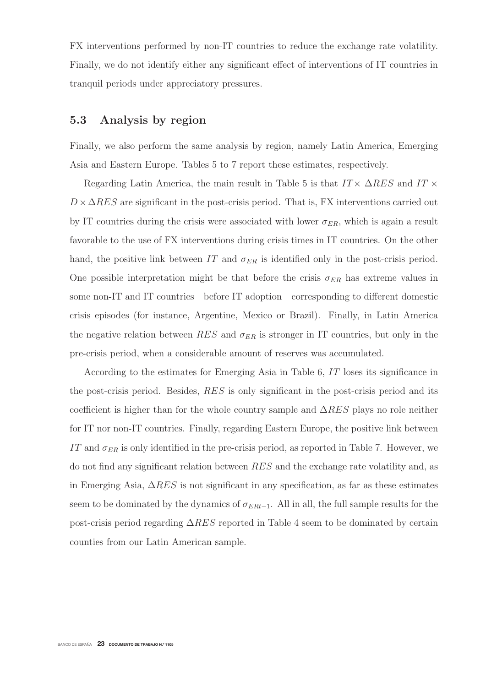FX interventions performed by non-IT countries to reduce the exchange rate volatility. Finally, we do not identify either any significant effect of interventions of IT countries in tranquil periods under appreciatory pressures.

#### **5.3 Analysis by region**

Finally, we also perform the same analysis by region, namely Latin America, Emerging Asia and Eastern Europe. Tables 5 to 7 report these estimates, respectively.

Regarding Latin America, the main result in Table 5 is that  $IT \times \Delta RES$  and  $IT \times$  $D \times \Delta RES$  are significant in the post-crisis period. That is, FX interventions carried out by IT countries during the crisis were associated with lower  $\sigma_{ER}$ , which is again a result favorable to the use of FX interventions during crisis times in IT countries. On the other hand, the positive link between IT and  $\sigma_{ER}$  is identified only in the post-crisis period. One possible interpretation might be that before the crisis  $\sigma_{ER}$  has extreme values in some non-IT and IT countries—before IT adoption—corresponding to different domestic crisis episodes (for instance, Argentine, Mexico or Brazil). Finally, in Latin America the negative relation between RES and  $\sigma_{ER}$  is stronger in IT countries, but only in the pre-crisis period, when a considerable amount of reserves was accumulated.

According to the estimates for Emerging Asia in Table 6, IT loses its significance in the post-crisis period. Besides, RES is only significant in the post-crisis period and its coefficient is higher than for the whole country sample and  $\Delta RES$  plays no role neither for IT nor non-IT countries. Finally, regarding Eastern Europe, the positive link between IT and  $\sigma_{ER}$  is only identified in the pre-crisis period, as reported in Table 7. However, we do not find any significant relation between RES and the exchange rate volatility and, as in Emerging Asia,  $\Delta RES$  is not significant in any specification, as far as these estimates seem to be dominated by the dynamics of  $\sigma_{ERt-1}$ . All in all, the full sample results for the post-crisis period regarding  $\Delta RES$  reported in Table 4 seem to be dominated by certain counties from our Latin American sample.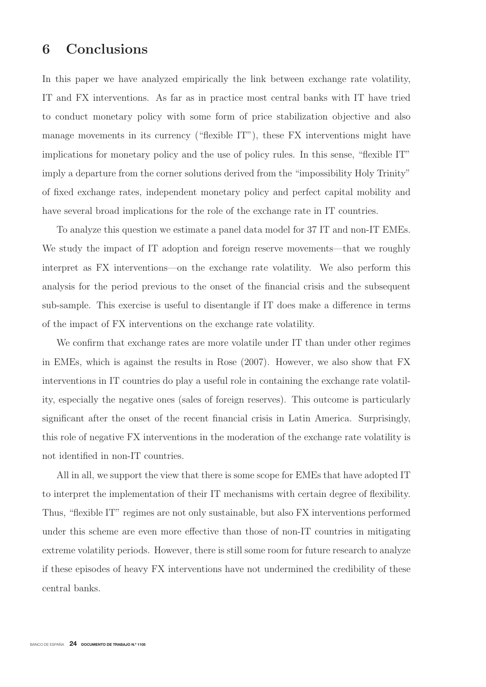### **6 Conclusions**

In this paper we have analyzed empirically the link between exchange rate volatility, IT and FX interventions. As far as in practice most central banks with IT have tried to conduct monetary policy with some form of price stabilization objective and also manage movements in its currency ("flexible IT"), these FX interventions might have implications for monetary policy and the use of policy rules. In this sense, "flexible IT" imply a departure from the corner solutions derived from the "impossibility Holy Trinity" of fixed exchange rates, independent monetary policy and perfect capital mobility and have several broad implications for the role of the exchange rate in IT countries.

To analyze this question we estimate a panel data model for 37 IT and non-IT EMEs. We study the impact of IT adoption and foreign reserve movements—that we roughly interpret as FX interventions—on the exchange rate volatility. We also perform this analysis for the period previous to the onset of the financial crisis and the subsequent sub-sample. This exercise is useful to disentangle if IT does make a difference in terms of the impact of FX interventions on the exchange rate volatility.

We confirm that exchange rates are more volatile under IT than under other regimes in EMEs, which is against the results in Rose (2007). However, we also show that FX interventions in IT countries do play a useful role in containing the exchange rate volatility, especially the negative ones (sales of foreign reserves). This outcome is particularly significant after the onset of the recent financial crisis in Latin America. Surprisingly, this role of negative FX interventions in the moderation of the exchange rate volatility is not identified in non-IT countries.

All in all, we support the view that there is some scope for EMEs that have adopted IT to interpret the implementation of their IT mechanisms with certain degree of flexibility. Thus, "flexible IT" regimes are not only sustainable, but also FX interventions performed under this scheme are even more effective than those of non-IT countries in mitigating extreme volatility periods. However, there is still some room for future research to analyze if these episodes of heavy FX interventions have not undermined the credibility of these central banks.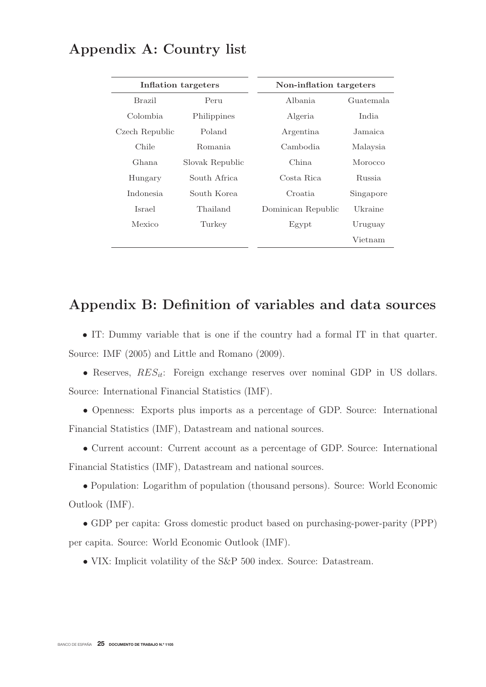|                | Inflation targeters | Non-inflation targeters |           |
|----------------|---------------------|-------------------------|-----------|
| Brazil         | Peru                | Albania                 | Guatemala |
| Colombia       | Philippines         | Algeria                 | India     |
| Czech Republic | Poland              | Argentina               | Jamaica   |
| Chile          | Romania             | Cambodia.               | Malaysia  |
| Ghana          | Slovak Republic     | China                   | Morocco   |
| Hungary        | South Africa        | Costa Rica              | Russia    |
| Indonesia      | South Korea         | Croatia                 | Singapore |
| Israel         | Thailand            | Dominican Republic      | Ukraine   |
| Mexico         | Turkey              | Egypt                   | Uruguay   |
|                |                     |                         | Vietnam   |

## **Appendix A: Country list**

## **Appendix B: Definition of variables and data sources**

• IT: Dummy variable that is one if the country had a formal IT in that quarter. Source: IMF (2005) and Little and Romano (2009).

• Reserves,  $RES_{it}$ : Foreign exchange reserves over nominal GDP in US dollars. Source: International Financial Statistics (IMF).

• Openness: Exports plus imports as a percentage of GDP. Source: International Financial Statistics (IMF), Datastream and national sources.

• Current account: Current account as a percentage of GDP. Source: International Financial Statistics (IMF), Datastream and national sources.

• Population: Logarithm of population (thousand persons). Source: World Economic Outlook (IMF).

• GDP per capita: Gross domestic product based on purchasing-power-parity (PPP) per capita. Source: World Economic Outlook (IMF).

• VIX: Implicit volatility of the S&P 500 index. Source: Datastream.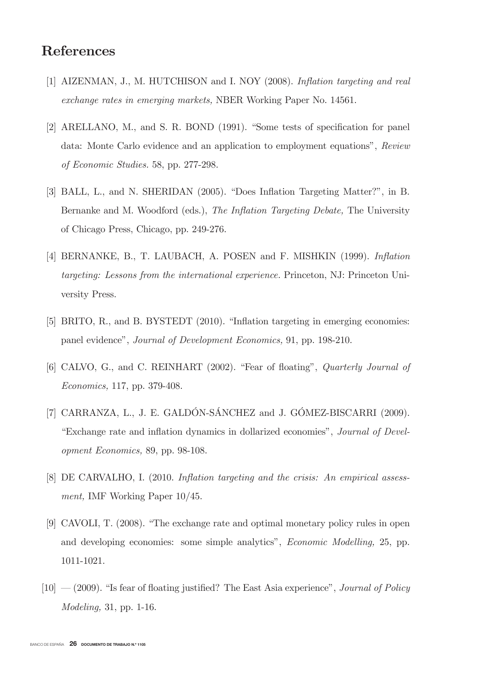## References

- [1] AIZENMAN, J., M. HUTCHISON and I. NOY (2008). Inflation targeting and real exchange rates in emerging markets, NBER Working Paper No. 14561.
- [2] ARELLANO, M., and S. R. BOND (1991). "Some tests of specification for panel data: Monte Carlo evidence and an application to employment equations", Review of Economic Studies. 58, pp. 277-298.
- [3] BALL, L., and N. SHERIDAN (2005). "Does Inflation Targeting Matter?", in B. Bernanke and M. Woodford (eds.), The Inflation Targeting Debate, The University of Chicago Press, Chicago, pp. 249-276.
- [4] BERNANKE, B., T. LAUBACH, A. POSEN and F. MISHKIN (1999). Inflation targeting: Lessons from the international experience. Princeton, NJ: Princeton University Press.
- [5] BRITO, R., and B. BYSTEDT (2010). "Inflation targeting in emerging economies: panel evidence", Journal of Development Economics, 91, pp. 198-210.
- [6] CALVO, G., and C. REINHART (2002). "Fear of floating", Quarterly Journal of Economics, 117, pp. 379-408.
- [7] CARRANZA, L., J. E. GALDÓN-SÁNCHEZ and J. GÓMEZ-BISCARRI (2009). "Exchange rate and inflation dynamics in dollarized economies", Journal of Development Economics, 89, pp. 98-108.
- [8] DE CARVALHO, I. (2010. Inflation targeting and the crisis: An empirical assessment, IMF Working Paper 10/45.
- [9] CAVOLI, T. (2008). "The exchange rate and optimal monetary policy rules in open and developing economies: some simple analytics", Economic Modelling, 25, pp. 1011-1021.
- $[10]$   $(2009)$ . "Is fear of floating justified? The East Asia experience", *Journal of Policy* Modeling, 31, pp. 1-16.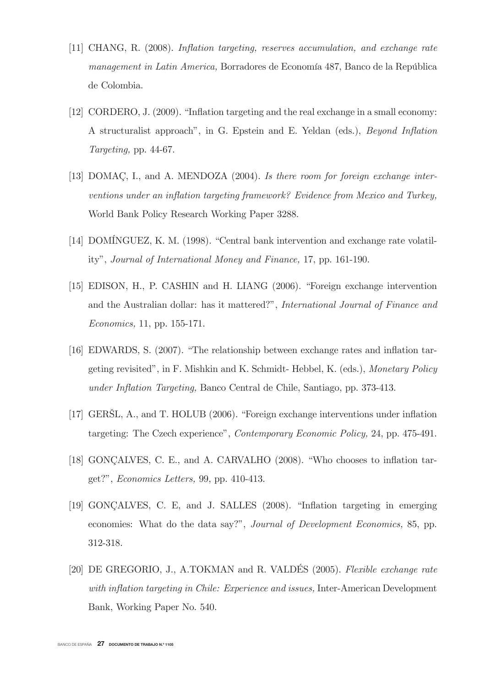- [11] CHANG, R. (2008). Inflation targeting, reserves accumulation, and exchange rate management in Latin America, Borradores de Economía 487, Banco de la República de Colombia.
- [12] CORDERO, J. (2009). "Inflation targeting and the real exchange in a small economy: A structuralist approach", in G. Epstein and E. Yeldan (eds.), Beyond Inflation Targeting, pp. 44-67.
- [13] DOMAC, I., and A. MENDOZA (2004). Is there room for foreign exchange interventions under an inflation targeting framework? Evidence from Mexico and Turkey, World Bank Policy Research Working Paper 3288.
- [14] DOMÍNGUEZ, K. M. (1998). "Central bank intervention and exchange rate volatility", Journal of International Money and Finance, 17, pp. 161-190.
- [15] EDISON, H., P. CASHIN and H. LIANG (2006). "Foreign exchange intervention and the Australian dollar: has it mattered?", International Journal of Finance and Economics, 11, pp. 155-171.
- [16] EDWARDS, S. (2007). "The relationship between exchange rates and inflation targeting revisited", in F. Mishkin and K. Schmidt- Hebbel, K. (eds.), Monetary Policy under Inflation Targeting, Banco Central de Chile, Santiago, pp. 373-413.
- [17] GERŠL, A., and T. HOLUB (2006). "Foreign exchange interventions under inflation targeting: The Czech experience", Contemporary Economic Policy, 24, pp. 475-491.
- [18] GONÇALVES, C. E., and A. CARVALHO (2008). "Who chooses to inflation target?", Economics Letters, 99, pp. 410-413.
- [19] GONÇALVES, C. E, and J. SALLES (2008). "Inflation targeting in emerging economies: What do the data say?", Journal of Development Economics, 85, pp. 312-318.
- [20] DE GREGORIO, J., A.TOKMAN and R. VALDÉS (2005). Flexible exchange rate with inflation targeting in Chile: Experience and issues, Inter-American Development Bank, Working Paper No. 540.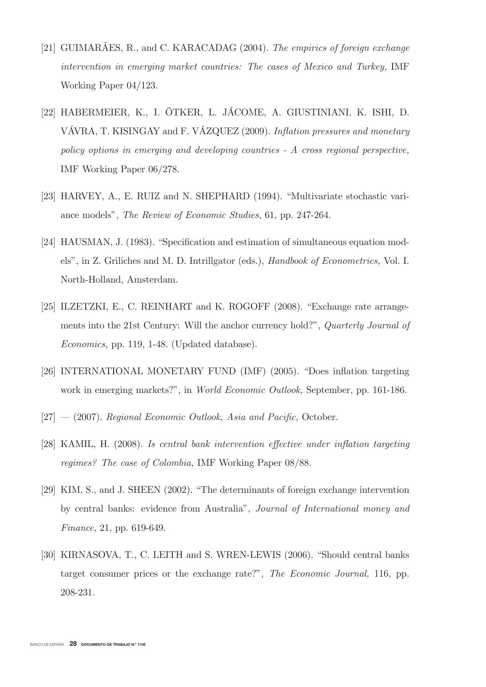- [21] GUIMARÃES, R., and C. KARACADAG (2004). The empirics of foreign exchange intervention in emerging market countries: The cases of Mexico and Turkey, IMF Working Paper 04/123.
- [22] HABERMEIER, K., I. ÖTKER, L. JÁCOME, A. GIUSTINIANI, K. ISHI, D. VÁVRA, T. KISINGAY and F. VÁZQUEZ (2009). Inflation pressures and monetary policy options in emerging and developing countries - A cross regional perspective, IMF Working Paper 06/278.
- [23] HARVEY, A., E. RUIZ and N. SHEPHARD (1994). "Multivariate stochastic variance models", The Review of Economic Studies, 61, pp. 247-264.
- [24] HAUSMAN, J. (1983). "Specification and estimation of simultaneous equation models", in Z. Griliches and M. D. Intrillgator (eds.), Handbook of Econometrics, Vol. I. North-Holland, Amsterdam.
- [25] ILZETZKI, E., C. REINHART and K. ROGOFF (2008). "Exchange rate arrangements into the 21st Century: Will the anchor currency hold?", Quarterly Journal of Economics, pp. 119, 1-48. (Updated database).
- [26] INTERNATIONAL MONETARY FUND (IMF) (2005). "Does inflation targeting work in emerging markets?", in World Economic Outlook, September, pp. 161-186.
- $[27] (2007)$ . Regional Economic Outlook, Asia and Pacific, October.
- [28] KAMIL, H. (2008). Is central bank intervention effective under inflation targeting regimes? The case of Colombia, IMF Working Paper 08/88.
- [29] KIM, S., and J. SHEEN (2002). "The determinants of foreign exchange intervention by central banks: evidence from Australia", Journal of International money and Finance, 21, pp. 619-649.
- [30] KIRNASOVA, T., C. LEITH and S. WREN-LEWIS (2006). "Should central banks target consumer prices or the exchange rate?", The Economic Journal, 116, pp. 208-231.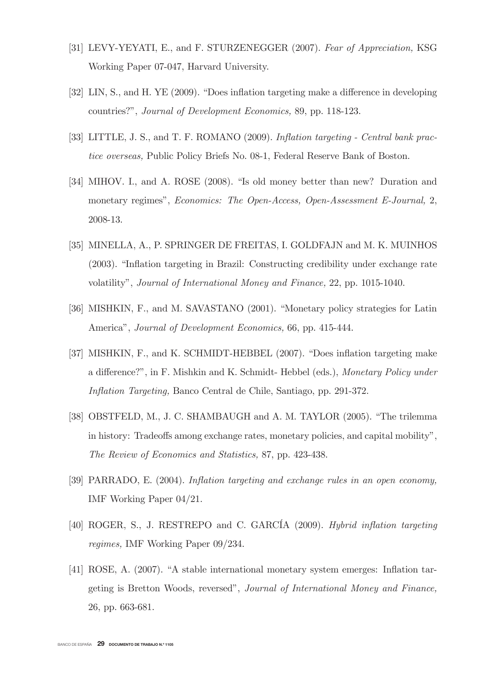- [31] LEVY-YEYATI, E., and F. STURZENEGGER (2007). Fear of Appreciation, KSG Working Paper 07-047, Harvard University.
- [32] LIN, S., and H. YE (2009). "Does inflation targeting make a difference in developing countries?", Journal of Development Economics, 89, pp. 118-123.
- [33] LITTLE, J. S., and T. F. ROMANO (2009). Inflation targeting Central bank practice overseas, Public Policy Briefs No. 08-1, Federal Reserve Bank of Boston.
- [34] MIHOV. I., and A. ROSE (2008). "Is old money better than new? Duration and monetary regimes", Economics: The Open-Access, Open-Assessment E-Journal, 2, 2008-13.
- [35] MINELLA, A., P. SPRINGER DE FREITAS, I. GOLDFAJN and M. K. MUINHOS (2003). "Inflation targeting in Brazil: Constructing credibility under exchange rate volatility", Journal of International Money and Finance, 22, pp. 1015-1040.
- [36] MISHKIN, F., and M. SAVASTANO (2001). "Monetary policy strategies for Latin America", Journal of Development Economics, 66, pp. 415-444.
- [37] MISHKIN, F., and K. SCHMIDT-HEBBEL (2007). "Does inflation targeting make a difference?", in F. Mishkin and K. Schmidt- Hebbel (eds.), Monetary Policy under Inflation Targeting, Banco Central de Chile, Santiago, pp. 291-372.
- [38] OBSTFELD, M., J. C. SHAMBAUGH and A. M. TAYLOR (2005). "The trilemma in history: Tradeoffs among exchange rates, monetary policies, and capital mobility", The Review of Economics and Statistics, 87, pp. 423-438.
- [39] PARRADO, E. (2004). Inflation targeting and exchange rules in an open economy, IMF Working Paper 04/21.
- [40] ROGER, S., J. RESTREPO and C. GARCÍA (2009). Hybrid inflation targeting regimes, IMF Working Paper 09/234.
- [41] ROSE, A. (2007). "A stable international monetary system emerges: Inflation targeting is Bretton Woods, reversed", Journal of International Money and Finance, 26, pp. 663-681.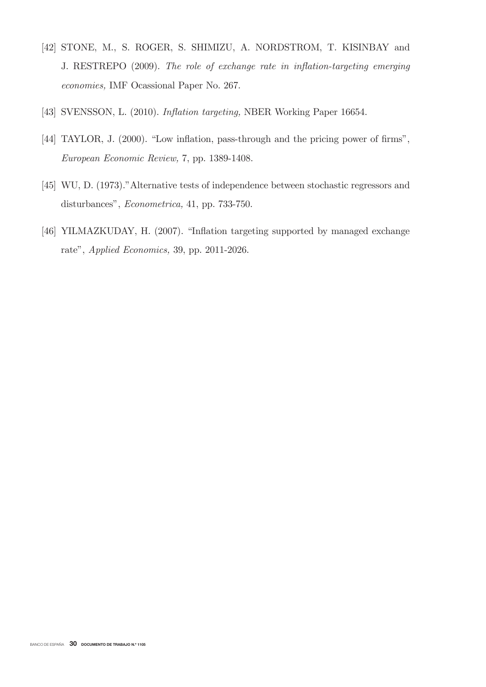- [42] STONE, M., S. ROGER, S. SHIMIZU, A. NORDSTROM, T. KISINBAY and J. RESTREPO (2009). The role of exchange rate in inflation-targeting emerging economies, IMF Ocassional Paper No. 267.
- [43] SVENSSON, L. (2010). Inflation targeting, NBER Working Paper 16654.
- [44] TAYLOR, J. (2000). "Low inflation, pass-through and the pricing power of firms", European Economic Review, 7, pp. 1389-1408.
- [45] WU, D. (1973)."Alternative tests of independence between stochastic regressors and disturbances", Econometrica, 41, pp. 733-750.
- [46] YILMAZKUDAY, H. (2007). "Inflation targeting supported by managed exchange rate", Applied Economics, 39, pp. 2011-2026.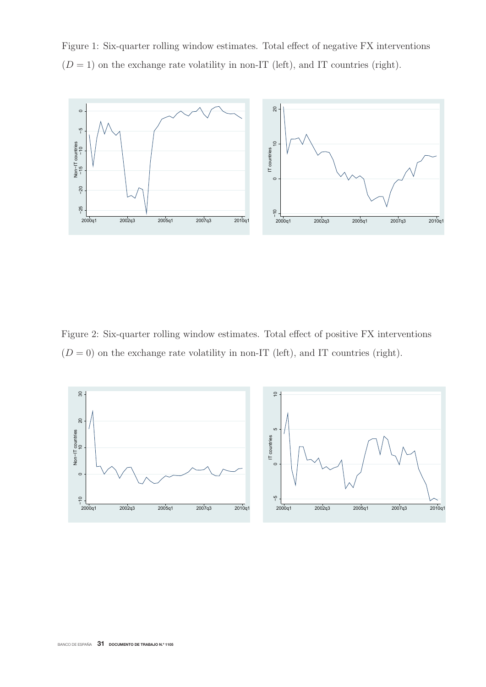Figure 1: Six-quarter rolling window estimates. Total effect of negative FX interventions  $(D = 1)$  on the exchange rate volatility in non-IT (left), and IT countries (right).



Figure 2: Six-quarter rolling window estimates. Total effect of positive FX interventions  $(D = 0)$  on the exchange rate volatility in non-IT (left), and IT countries (right).

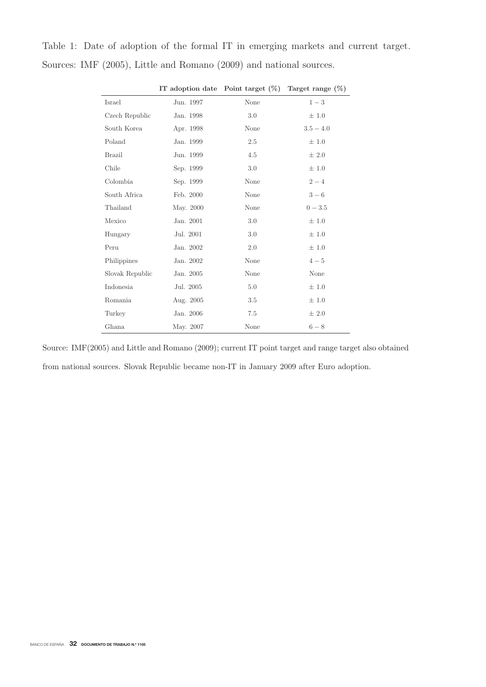|  |  |  |  | Table 1: Date of adoption of the formal IT in emerging markets and current target. |  |  |
|--|--|--|--|------------------------------------------------------------------------------------|--|--|
|  |  |  |  | Sources: IMF (2005), Little and Romano (2009) and national sources.                |  |  |

|                 | IT adoption date | Point target $(\% )$ | Target range $(\% )$ |
|-----------------|------------------|----------------------|----------------------|
| Israel          | Jun. 1997        | None                 | $1 - 3$              |
| Czech Republic  | Jan. 1998        | 3.0                  | ±1.0                 |
| South Korea     | Apr. 1998        | None                 | $3.5 - 4.0$          |
| Poland          | Jan. 1999        | 2.5                  | $\pm 1.0$            |
| <b>Brazil</b>   | Jun. 1999        | 4.5                  | ± 2.0                |
| Chile           | Sep. 1999        | 3.0                  | ±1.0                 |
| Colombia        | Sep. 1999        | None                 | $2 - 4$              |
| South Africa    | Feb. 2000        | None                 | $3-6$                |
| Thailand        | May. 2000        | None                 | $0 - 3.5$            |
| Mexico          | Jan. 2001        | 3.0                  | ±1.0                 |
| Hungary         | Jul. 2001        | 3.0                  | ±1.0                 |
| Peru            | Jan. 2002        | 2.0                  | ±1.0                 |
| Philippines     | Jan. 2002        | None                 | $4-5$                |
| Slovak Republic | Jan. 2005        | None                 | None                 |
| Indonesia       | Jul. 2005        | 5.0                  | ±1.0                 |
| Romania         | Aug. 2005        | 3.5                  | ±1.0                 |
| Turkey          | Jan. 2006        | 7.5                  | ± 2.0                |
| Ghana           | May. 2007        | None                 | $6-8$                |

**IT adoption date Point target (%) Target range (%)**

Source: IMF(2005) and Little and Romano (2009); current IT point target and range target also obtained from national sources. Slovak Republic became non-IT in January 2009 after Euro adoption.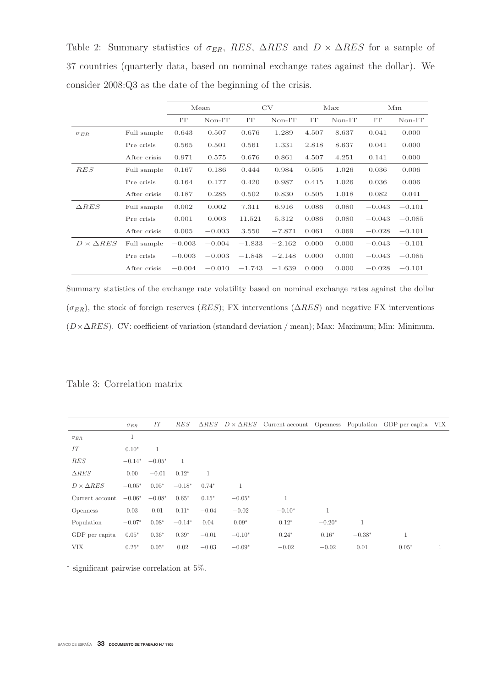Table 2: Summary statistics of  $\sigma_{ER}$ , RES,  $\Delta RES$  and  $D \times \Delta RES$  for a sample of 37 countries (quarterly data, based on nominal exchange rates against the dollar). We consider 2008:Q3 as the date of the beginning of the crisis.

|                       |              |          | Mean     |          | CV       |       | Max      | Min      |          |
|-----------------------|--------------|----------|----------|----------|----------|-------|----------|----------|----------|
|                       |              | IT       | $Non-IT$ | IT       | $Non-T$  | IT    | $Non-IT$ | IT       | $Non-T$  |
| $\sigma_{ER}$         | Full sample  | 0.643    | 0.507    | 0.676    | 1.289    | 4.507 | 8.637    | 0.041    | 0.000    |
|                       | Pre crisis   | 0.565    | 0.501    | 0.561    | 1.331    | 2.818 | 8.637    | 0.041    | 0.000    |
|                       | After crisis | 0.971    | 0.575    | 0.676    | 0.861    | 4.507 | 4.251    | 0.141    | 0.000    |
| RES                   | Full sample  | 0.167    | 0.186    | 0.444    | 0.984    | 0.505 | 1.026    | 0.036    | 0.006    |
|                       | Pre crisis   | 0.164    | 0.177    | 0.420    | 0.987    | 0.415 | 1.026    | 0.036    | 0.006    |
|                       | After crisis | 0.187    | 0.285    | 0.502    | 0.830    | 0.505 | 1.018    | 0.082    | 0.041    |
| $\triangle RES$       | Full sample  | 0.002    | 0.002    | 7.311    | 6.916    | 0.086 | 0.080    | $-0.043$ | $-0.101$ |
|                       | Pre crisis   | 0.001    | 0.003    | 11.521   | 5.312    | 0.086 | 0.080    | $-0.043$ | $-0.085$ |
|                       | After crisis | 0.005    | $-0.003$ | 3.550    | $-7.871$ | 0.061 | 0.069    | $-0.028$ | $-0.101$ |
| $D \times \Delta RES$ | Full sample  | $-0.003$ | $-0.004$ | $-1.833$ | $-2.162$ | 0.000 | 0.000    | $-0.043$ | $-0.101$ |
|                       | Pre crisis   | $-0.003$ | $-0.003$ | $-1.848$ | $-2.148$ | 0.000 | 0.000    | $-0.043$ | $-0.085$ |
|                       | After crisis | $-0.004$ | $-0.010$ | $-1.743$ | $-1.639$ | 0.000 | 0.000    | $-0.028$ | $-0.101$ |

Summary statistics of the exchange rate volatility based on nominal exchange rates against the dollar  $(\sigma_{ER})$ , the stock of foreign reserves (RES); FX interventions ( $\Delta RES$ ) and negative FX interventions  $(D \times \Delta RES)$ . CV: coefficient of variation (standard deviation / mean); Max: Maximum; Min: Minimum.

Table 3: Correlation matrix

|                       | $\sigma_{ER}$ | IT       | <b>RES</b> | $\Delta RES$ |              | $D \times \Delta RES$ Current account Openness Population GDP per capita VIX |          |              |              |  |
|-----------------------|---------------|----------|------------|--------------|--------------|------------------------------------------------------------------------------|----------|--------------|--------------|--|
| $\sigma_{ER}$         | $\mathbf{1}$  |          |            |              |              |                                                                              |          |              |              |  |
| IT                    | $0.10*$       | 1        |            |              |              |                                                                              |          |              |              |  |
| <b>RES</b>            | $-0.14*$      | $-0.05*$ | 1          |              |              |                                                                              |          |              |              |  |
| $\triangle RES$       | 0.00          | $-0.01$  | $0.12*$    | 1            |              |                                                                              |          |              |              |  |
| $D \times \Delta RES$ | $-0.05*$      | $0.05*$  | $-0.18*$   | $0.74*$      | $\mathbf{1}$ |                                                                              |          |              |              |  |
| Current account       | $-0.06*$      | $-0.08*$ | $0.65*$    | $0.15*$      | $-0.05*$     |                                                                              |          |              |              |  |
| <i>Openness</i>       | 0.03          | 0.01     | $0.11*$    | $-0.04$      | $-0.02$      | $-0.10*$                                                                     |          |              |              |  |
| Population            | $-0.07*$      | $0.08*$  | $-0.14*$   | 0.04         | $0.09*$      | $0.12*$                                                                      | $-0.20*$ | $\mathbf{1}$ |              |  |
| GDP per capita        | $0.05*$       | $0.36*$  | $0.39*$    | $-0.01$      | $-0.10*$     | $0.24*$                                                                      | $0.16*$  | $-0.38*$     | $\mathbf{1}$ |  |
| <b>VIX</b>            | $0.25*$       | $0.05*$  | 0.02       | $-0.03$      | $-0.09*$     | $-0.02$                                                                      | $-0.02$  | 0.01         | $0.05*$      |  |

<sup>∗</sup> significant pairwise correlation at 5%.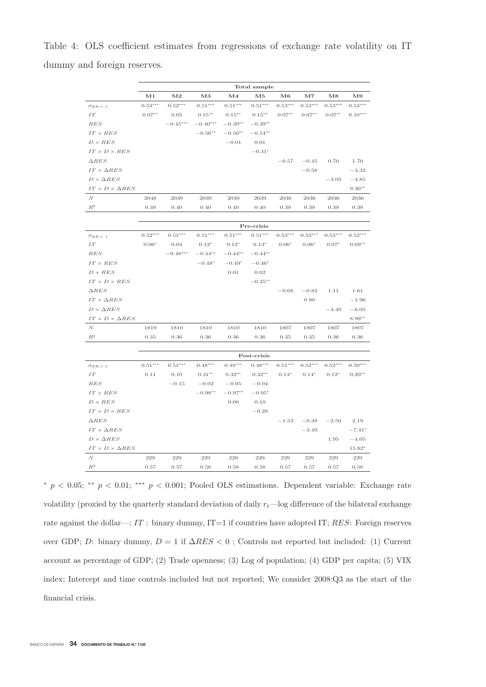Table 4: OLS coefficient estimates from regressions of exchange rate volatility on IT dummy and foreign reserves.

|                                 |           |            |            |               | Total sample |           |           |             |           |
|---------------------------------|-----------|------------|------------|---------------|--------------|-----------|-----------|-------------|-----------|
|                                 | M1        | $\rm M2$   | M3         | $\mathbf{M}4$ | $_{\rm M5}$  | M6        | $\bf M7$  | $_{\rm M8}$ | M9        |
| $\sigma_{ER, t-1}$              | $0.53***$ | $0.52***$  | $0.51***$  | $0.51***$     | $0.51***$    | $0.53***$ | $0.53***$ | $0.53***$   | $0.53***$ |
| $\cal IT$                       | $0.07**$  | 0.05       | $0.15***$  | $0.15***$     | $0.15***$    | $0.07**$  | $0.07**$  | $0.07**$    | $0.10***$ |
| $_{RES}$                        |           | $-0.45***$ | $-0.40***$ | $-0.39**$     | $-0.39**$    |           |           |             |           |
| $IT \times RES$                 |           |            | $-0.56**$  | $-0.56**$     | $-0.54**$    |           |           |             |           |
| $D \times RES$                  |           |            |            | $-0.01$       | $0.01\,$     |           |           |             |           |
| $IT \times D \times RES$        |           |            |            |               | $-0.31*$     |           |           |             |           |
| $\triangle RES$                 |           |            |            |               |              | $-0.57$   | $-0.45$   | 0.70        | 1.70      |
| $IT \times \Delta RES$          |           |            |            |               |              |           | $-0.58$   |             | $-3.32$   |
| $D \times \Delta RES$           |           |            |            |               |              |           |           | $-3.03$     | $-4.85$   |
| $IT \times D \times \Delta RES$ |           |            |            |               |              |           |           |             | $9.30**$  |
| $\cal N$                        | 2048      | 2039       | 2039       | 2039          | 2039         | 2036      | 2036      | 2036        | 2036      |
| $\mathbb{R}^2$                  | 0.39      | 0.40       | 0.40       | 0.40          | 0.40         | 0.39      | 0.39      | 0.39        | 0.39      |
|                                 |           |            |            |               |              |           |           |             |           |
|                                 |           |            |            |               | Pre-crisis   |           |           |             |           |
| $\sigma_{ER, t-1}$              | $0.52***$ | $0.51***$  | $0.51***$  | $0.51***$     | $0.51***$    | $0.53***$ | $0.53***$ | $0.53***$   | $0.52***$ |
| $\cal IT$                       | $0.06*$   | 0.04       | $0.12*$    | $0.12*$       | $0.13*$      | $0.06*$   | $0.06*$   | $0.07*$     | $0.09**$  |
| $_{RES}$                        |           | $-0.48***$ | $-0.44**$  | $-0.44**$     | $-0.44**$    |           |           |             |           |
| $IT \times RES$                 |           |            | $-0.48*$   | $-0.49*$      | $-0.46*$     |           |           |             |           |
| $D \times RES$                  |           |            |            | $0.01\,$      | $\rm 0.02$   |           |           |             |           |
| $IT \times D \times RES$        |           |            |            |               | $-0.35**$    |           |           |             |           |
| $\Delta RES$                    |           |            |            |               |              | $-0.68$   | $-0.82$   | 1.11        | 1.61      |
| $IT \times \Delta RES$          |           |            |            |               |              |           | 0.80      |             | $-1.96$   |
| $D \times \Delta RES$           |           |            |            |               |              |           |           | $-4.49$     | $-6.05$   |
| $IT \times D \times \Delta RES$ |           |            |            |               |              |           |           |             | 8.99**    |
| $\cal N$                        | 1819      | 1810       | 1810       | 1810          | 1810         | 1807      | 1807      | 1807        | 1807      |
| $\mathbb{R}^2$                  | 0.35      | 0.36       | 0.36       | 0.36          | 0.36         | 0.35      | 0.35      | 0.36        | 0.36      |
|                                 |           |            |            |               |              |           |           |             |           |
|                                 |           |            |            |               | Post-crisis  |           |           |             |           |
| $\sigma_{ER, t-1}$              | $0.51***$ | $0.51***$  | $0.48***$  | $0.48***$     | $0.48***$    | $0.51***$ | $0.52***$ | $0.52***$   | $0.50***$ |
| $\cal IT$                       | 0.11      | 0.10       | $0.31***$  | $0.32**$      | $0.32**$     | $0.13*$   | $0.14*$   | $0.12*$     | $0.20**$  |
| RES                             |           | $-0.15$    | $-0.02$    | $-0.05$       | $-0.04$      |           |           |             |           |
| $IT \times RES$                 |           |            | $-0.98**$  | $-0.97**$     | $-0.95*$     |           |           |             |           |
| $D \times RES$                  |           |            |            | 0.08          | 0.10         |           |           |             |           |
| $IT \times D \times RES$        |           |            |            |               | $-0.28$      |           |           |             |           |
| $\triangle RES$                 |           |            |            |               |              | $-1.53$   | $-0.38$   | $-2.50$     | 2.19      |
| $IT \times \Delta RES$          |           |            |            |               |              |           | $-3.49$   |             | $-7.41*$  |
| $D \times \Delta RES$           |           |            |            |               |              |           |           | 1.95        | $-4.05$   |
| $IT \times D \times \Delta RES$ |           |            |            |               |              |           |           |             | $15.82*$  |
| $\cal N$                        | 229       | 229        | 229        | 229           | 229          | $229\,$   | 229       | 229         | 229       |
| $\mathbb{R}^2$                  | 0.57      | 0.57       | 0.58       | 0.58          | 0.58         | 0.57      | 0.57      | 0.57        | 0.58      |

<sup>∗</sup> p < 0.05; ∗∗ p < 0.01; ∗∗∗ p < 0.001; Pooled OLS estimations. Dependent variable: Exchange rate volatility (proxied by the quarterly standard deviation of daily  $r_t$ —log difference of the bilateral exchange rate against the dollar—;  $IT$ : binary dummy,  $IT=1$  if countries have adopted IT;  $RES$ : Foreign reserves over GDP; D: binary dummy,  $D = 1$  if  $\Delta RES < 0$ ; Controls not reported but included: (1) Current account as percentage of GDP; (2) Trade openness; (3) Log of population; (4) GDP per capita; (5) VIX index; Intercept and time controls included but not reported; We consider 2008:Q3 as the start of the financial crisis.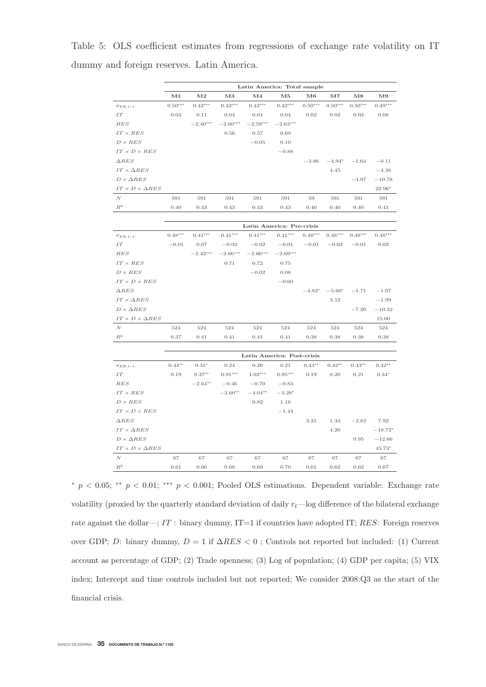Table 5: OLS coefficient estimates from regressions of exchange rate volatility on IT dummy and foreign reserves. Latin America.

|                                 |               |            |               | Latin America: Total sample |               |           |           |             |           |
|---------------------------------|---------------|------------|---------------|-----------------------------|---------------|-----------|-----------|-------------|-----------|
|                                 | $\mathbf{M1}$ | $\bf M2$   | $\mathbf{M}3$ | M <sub>4</sub>              | $\mathbf{M}5$ | M6        | $\bf M7$  | $_{\rm M8}$ | M9        |
| $\sigma_{ER,\,t-1}$             | $0.50***$     | $0.42***$  | $0.42***$     | $0.42***$                   | $0.42***$     | $0.50***$ | $0.50***$ | $0.50***$   | $0.49***$ |
| $\cal IT$                       | 0.03          | 0.11       | 0.04          | 0.04                        | 0.04          | 0.02      | 0.02      | 0.03        | 0.08      |
| RES                             |               | $-2.40***$ | $-2.60***$    | $-2.59***$                  | $-2.63***$    |           |           |             |           |
| $IT \times RES$                 |               |            | 0.56          | 0.57                        | 0.69          |           |           |             |           |
| $D \times RES$                  |               |            |               | $-0.05$                     | 0.10          |           |           |             |           |
| $IT \times D \times RES$        |               |            |               |                             | $-0.88$       |           |           |             |           |
| $\triangle RES$                 |               |            |               |                             |               | $-3.86$   | $-4.94*$  | $-1.64$     | $-0.11$   |
| $IT \times \Delta RES$          |               |            |               |                             |               |           | 4.45      |             | $-4.38$   |
| $D \times \Delta RES$           |               |            |               |                             |               |           |           | $-4.97$     | $-10.78$  |
| $IT \times D \times \Delta RES$ |               |            |               |                             |               |           |           |             | 22.96*    |
| $\cal N$                        | 591           | 591        | 591           | 591                         | 591           | 59        | 591       | 591         | 591       |
| $\mathbb{R}^2$                  | 0.40          | 0.43       | 0.43          | 0.43                        | 0.43          | 0.40      | 0.40      | 0.40        | 0.41      |
|                                 |               |            |               |                             |               |           |           |             |           |
|                                 |               |            |               | Latin America: Pre-crisis   |               |           |           |             |           |
| $\sigma_{ER, t-1}$              | $0.48***$     | $0.41***$  | $0.41***$     | $0.41***$                   | $0.41***$     | $0.48***$ | $0.48***$ | $0.48***$   | $0.48***$ |
| $\cal IT$                       | $-0.01$       | 0.07       | $-0.02$       | $-0.02$                     | $-0.01$       | $-0.01$   | $-0.02$   | $-0.01$     | 0.02      |
| RES                             |               | $-2.42***$ | $-2.66***$    | $-2.66***$                  | $-2.69***$    |           |           |             |           |
| $IT \times RES$                 |               |            | 0.71          | 0.72                        | 0.75          |           |           |             |           |
| $D \times RES$                  |               |            |               | $-0.02$                     | 0.08          |           |           |             |           |
| $IT \times D \times RES$        |               |            |               |                             | $-0.60$       |           |           |             |           |
| $\triangle RES$                 |               |            |               |                             |               | $-4.82*$  | $-5.60*$  | $-1.71$     | $-1.07$   |
| $IT \times \Delta RES$          |               |            |               |                             |               |           | 3.52      |             | $-1.99$   |
| $D \times \Delta RES$           |               |            |               |                             |               |           |           | $-7.20$     | $-10.32$  |
| $IT \times D \times \Delta RES$ |               |            |               |                             |               |           |           |             | 15.00     |
| $\cal N$                        | 524           | 524        | 524           | 524                         | 524           | 524       | 524       | 524         | 524       |
| $R^2$                           | 0.37          | 0.41       | 0.41          | 0.41                        | 0.41          | 0.38      | 0.38      | 0.38        | 0.38      |
|                                 |               |            |               | Latin America: Post-crisis  |               |           |           |             |           |
| $\sigma_{ER,\,t-1}$             | $0.44**$      | $0.31*$    | 0.24          | 0.20                        | 0.21          | $0.43**$  | $0.42**$  | $0.43**$    | $0.42**$  |
| IT                              | 0.19          | $0.37**$   | $0.91***$     | $1.02***$                   | $0.95***$     | 0.19      | 0.20      | $0.21\,$    | $0.34*$   |
| RES                             |               | $-2.64**$  | $-0.46$       | $-0.70$                     | $-0.83$       |           |           |             |           |
| $IT \times RES$                 |               |            | $-3.60**$     | $-4.04**$                   | $-3.28*$      |           |           |             |           |
| $D \times RES$                  |               |            |               | 0.82                        | 1.16          |           |           |             |           |
| $IT \times D \times RES$        |               |            |               |                             | $-1.44$       |           |           |             |           |
| $\triangle RES$                 |               |            |               |                             |               | 3.21      | 1.34      | $-2.82$     | 7.92      |
| $IT \times \Delta RES$          |               |            |               |                             |               |           | 4.20      |             | $-18.72*$ |
| $D \times \Delta RES$           |               |            |               |                             |               |           |           | 9.95        | $-12.66$  |
| $IT \times D \times \Delta RES$ |               |            |               |                             |               |           |           |             | $45.73*$  |
| $\cal N$                        | 67            | 67         | 67            | 67                          | 67            | 67        | 67        | 67          | 67        |
| $\mathbb{R}^2$                  | 0.61          | 0.66       | 0.68          | 0.69                        | 0.70          | 0.61      | 0.62      | 0.62        | 0.67      |

<sup>\*</sup> p < 0.05; \*\* p < 0.01; \*\*\* p < 0.001; Pooled OLS estimations. Dependent variable: Exchange rate volatility (proxied by the quarterly standard deviation of daily  $r_t$ —log difference of the bilateral exchange rate against the dollar—;  $IT$ : binary dummy,  $IT=1$  if countries have adopted IT;  $RES$ : Foreign reserves over GDP; D: binary dummy,  $D = 1$  if  $\Delta RES < 0$ ; Controls not reported but included: (1) Current account as percentage of GDP; (2) Trade openness; (3) Log of population; (4) GDP per capita; (5) VIX index; Intercept and time controls included but not reported; We consider 2008:Q3 as the start of the financial crisis.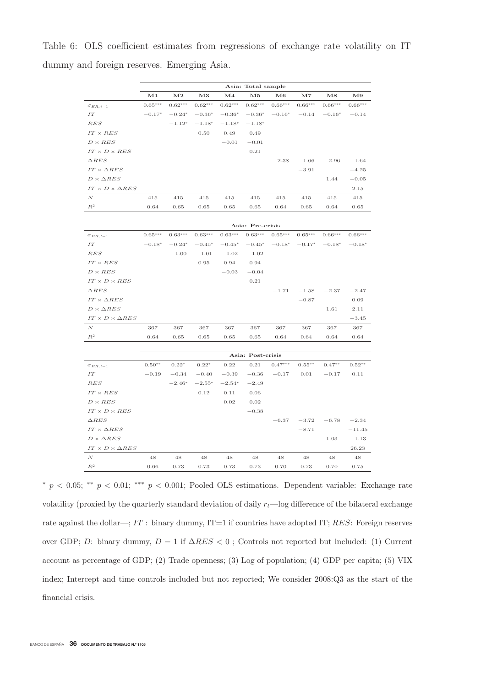Table 6: OLS coefficient estimates from regressions of exchange rate volatility on IT dummy and foreign reserves. Emerging Asia.

|                                 |               |                       |           |               | Asia: Total sample |           |           |           |               |
|---------------------------------|---------------|-----------------------|-----------|---------------|--------------------|-----------|-----------|-----------|---------------|
|                                 | $\mathbf{M1}$ | $\bf M2$              | $\bf M3$  | $\mathbf{M}4$ | $\mathbf{M5}$      | $\bf M6$  | $\bf M7$  | $\bf M8$  | $\mathbf{M9}$ |
| $\sigma_{ER, t-1}$              | $0.65***$     | $0.62^{\ast\ast\ast}$ | $0.62***$ | $0.62***$     | $0.62***$          | $0.66***$ | $0.66***$ | $0.66***$ | $0.66***$     |
| IT                              | $-0.17*$      | $-0.24*$              | $-0.36*$  | $-0.36*$      | $-0.36*$           | $-0.16*$  | $-0.14$   | $-0.16*$  | $-0.14$       |
| RES                             |               | $-1.12*$              | $-1.18*$  | $-1.18*$      | $-1.18*$           |           |           |           |               |
| $IT \times RES$                 |               |                       | 0.50      | 0.49          | 0.49               |           |           |           |               |
| $D \times RES$                  |               |                       |           | $-0.01$       | $-0.01$            |           |           |           |               |
| $IT \times D \times RES$        |               |                       |           |               | $0.21\,$           |           |           |           |               |
| $\triangle RES$                 |               |                       |           |               |                    | $-2.38$   | $-1.66$   | $-2.96$   | $-1.64$       |
| $IT \times \Delta RES$          |               |                       |           |               |                    |           | $-3.91$   |           | $-4.25$       |
| $D \times \Delta RES$           |               |                       |           |               |                    |           |           | 1.44      | $-0.05$       |
| $IT \times D \times \Delta RES$ |               |                       |           |               |                    |           |           |           | 2.15          |
| $\,N$                           | 415           | 415                   | 415       | 415           | 415                | 415       | 415       | 415       | 415           |
| $\mathbb{R}^2$                  | 0.64          | 0.65                  | 0.65      | 0.65          | 0.65               | 0.64      | 0.65      | 0.64      | 0.65          |
|                                 |               |                       |           |               |                    |           |           |           |               |
|                                 |               |                       |           |               | Asia: Pre-crisis   |           |           |           |               |
| $\sigma_{ER, t-1}$              | $0.65***$     | $0.63***$             | $0.63***$ | $0.63***$     | $0.63***$          | $0.65***$ | $0.65***$ | $0.66***$ | $0.66***$     |
| $\cal IT$                       | $-0.18*$      | $-0.24*$              | $-0.45*$  | $-0.45*$      | $-0.45*$           | $-0.18*$  | $-0.17*$  | $-0.18*$  | $-0.18*$      |
| RES                             |               | $-1.00$               | $-1.01$   | $-1.02$       | $-1.02$            |           |           |           |               |
| $IT \times RES$                 |               |                       | 0.95      | 0.94          | 0.94               |           |           |           |               |
| $D \times RES$                  |               |                       |           | $-0.03$       | $-0.04$            |           |           |           |               |
| $IT \times D \times RES$        |               |                       |           |               | 0.21               |           |           |           |               |
| $\Delta RES$                    |               |                       |           |               |                    | $-1.71$   | $-1.58$   | $-2.37$   | $-2.47$       |
| $IT \times \Delta RES$          |               |                       |           |               |                    |           | $-0.87$   |           | 0.09          |
| $D \times \Delta RES$           |               |                       |           |               |                    |           |           | 1.61      | 2.11          |
| $IT \times D \times \Delta RES$ |               |                       |           |               |                    |           |           |           | $-3.45$       |
| N                               | 367           | 367                   | 367       | 367           | 367                | 367       | 367       | 367       | 367           |
| $\mathbb{R}^2$                  | 0.64          | 0.65                  | 0.65      | 0.65          | 0.65               | 0.64      | 0.64      | 0.64      | 0.64          |
|                                 |               |                       |           |               |                    |           |           |           |               |
|                                 |               |                       |           |               | Asia: Post-crisis  |           |           |           |               |
| $\sigma_{ER, t-1}$              | $0.50**$      | $0.22*$               | $0.22*$   | 0.22          | 0.21               | $0.47***$ | $0.55***$ | $0.47**$  | $0.52**$      |
| IT                              | $-0.19$       | $-0.34$               | $-0.40$   | $-0.39$       | $-0.36$            | $-0.17$   | 0.01      | $-0.17$   | 0.11          |
| $\mathbb{RES}$                  |               | $-2.46*$              | $-2.55*$  | $-2.54*$      | $-2.49$            |           |           |           |               |
| $IT \times RES$                 |               |                       | 0.12      | 0.11          | 0.06               |           |           |           |               |
| $D \times RES$                  |               |                       |           | $\rm 0.02$    | 0.02               |           |           |           |               |
| $IT \times D \times RES$        |               |                       |           |               | $-0.38$            |           |           |           |               |
| $\triangle RES$                 |               |                       |           |               |                    | $-6.37$   | $-3.72$   | $-6.78$   | $-2.34$       |
| $IT \times \Delta RES$          |               |                       |           |               |                    |           | $-8.71$   |           | $-11.45$      |
| $D \times \Delta RES$           |               |                       |           |               |                    |           |           | 1.03      | $-1.13$       |
| $IT \times D \times \Delta RES$ |               |                       |           |               |                    |           |           |           | 26.23         |
| $\cal N$                        | 48            | 48                    | 48        | 48            | 48                 | 48        | 48        | 48        | 48            |
| $\mathbb{R}^2$                  | 0.66          | 0.73                  | 0.73      | 0.73          | 0.73               | 0.70      | 0.73      | 0.70      | 0.75          |

<sup>\*</sup>  $p < 0.05$ ; \*\*  $p < 0.01$ ; \*\*\*  $p < 0.001$ ; Pooled OLS estimations. Dependent variable: Exchange rate volatility (proxied by the quarterly standard deviation of daily  $r_t$ —log difference of the bilateral exchange rate against the dollar—;  $IT$ : binary dummy,  $IT=1$  if countries have adopted IT;  $RES$ : Foreign reserves over GDP; D: binary dummy,  $D = 1$  if  $\Delta RES < 0$ ; Controls not reported but included: (1) Current account as percentage of GDP; (2) Trade openness; (3) Log of population; (4) GDP per capita; (5) VIX index; Intercept and time controls included but not reported; We consider 2008:Q3 as the start of the financial crisis.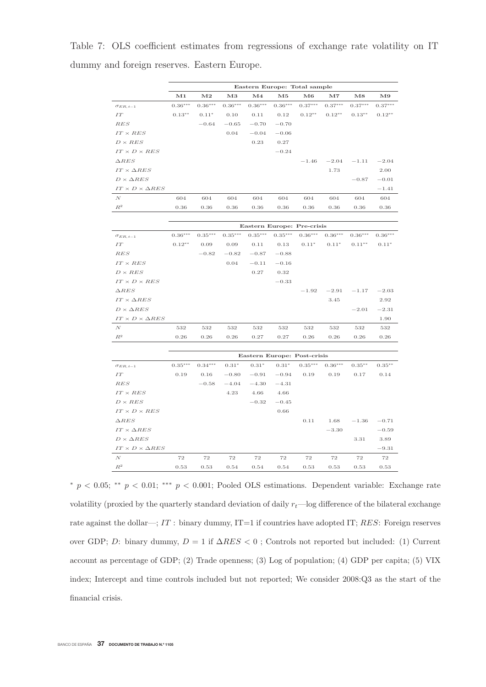Table 7: OLS coefficient estimates from regressions of exchange rate volatility on IT dummy and foreign reserves. Eastern Europe.

|                                 |            |               |           |            | Eastern Europe: Total sample |           |           |             |               |
|---------------------------------|------------|---------------|-----------|------------|------------------------------|-----------|-----------|-------------|---------------|
|                                 | $\bf M1$   | $\mathbf{M2}$ | $\bf M3$  | $\bf M4$   | $\mathbf{M5}$                | M6        | $\bf M7$  | $_{\rm M8}$ | $\mathbf{M}9$ |
| $\sigma_{ER, t-1}$              | $0.36***$  | $0.36***$     | $0.36***$ | $0.36***$  | $0.36***$                    | $0.37***$ | $0.37***$ | $0.37***$   | $0.37***$     |
| $\cal IT$                       | $0.13***$  | $0.11*$       | 0.10      | 0.11       | 0.12                         | $0.12**$  | $0.12**$  | $0.13**$    | $0.12**$      |
| RES                             |            | $-0.64$       | $-0.65$   | $-0.70$    | $-0.70$                      |           |           |             |               |
| $IT \times RES$                 |            |               | 0.04      | $-0.04$    | $-0.06$                      |           |           |             |               |
| $D \times RES$                  |            |               |           | 0.23       | 0.27                         |           |           |             |               |
| $IT \times D \times RES$        |            |               |           |            | $-0.24$                      |           |           |             |               |
| $\triangle RES$                 |            |               |           |            |                              | $-1.46$   | $-2.04$   | $-1.11$     | $-2.04$       |
| $IT \times \Delta RES$          |            |               |           |            |                              |           | 1.73      |             | 2.00          |
| $D \times \Delta RES$           |            |               |           |            |                              |           |           | $-0.87$     | $-0.01$       |
| $IT \times D \times \Delta RES$ |            |               |           |            |                              |           |           |             | $-1.41$       |
| N                               | 604        | 604           | 604       | 604        | 604                          | 604       | 604       | 604         | 604           |
| $\mathbb{R}^2$                  | $\rm 0.36$ | 0.36          | 0.36      | $\rm 0.36$ | 0.36                         | 0.36      | 0.36      | 0.36        | 0.36          |
|                                 |            |               |           |            |                              |           |           |             |               |
|                                 |            |               |           |            | Eastern Europe: Pre-crisis   |           |           |             |               |
| $\sigma_{ER, t-1}$              | $0.36***$  | $0.35***$     | $0.35***$ | $0.35***$  | $0.35***$                    | $0.36***$ | $0.36***$ | $0.36***$   | $0.36***$     |
| $\cal IT$                       | $0.12**$   | 0.09          | 0.09      | 0.11       | 0.13                         | $0.11*$   | $0.11*$   | $0.11**$    | $0.11*$       |
| RES                             |            | $-0.82$       | $-0.82$   | $-0.87$    | $-0.88$                      |           |           |             |               |
| $IT \times RES$                 |            |               | 0.04      | $-0.11$    | $-0.16$                      |           |           |             |               |
| $D \times RES$                  |            |               |           | 0.27       | 0.32                         |           |           |             |               |
| $IT \times D \times RES$        |            |               |           |            | $-0.33$                      |           |           |             |               |
| $\triangle RES$                 |            |               |           |            |                              | $-1.92$   | $-2.91$   | $-1.17$     | $-2.03$       |
| $IT \times \Delta RES$          |            |               |           |            |                              |           | 3.45      |             | 2.92          |
| $D \times \Delta RES$           |            |               |           |            |                              |           |           | $-2.01$     | $-2.31$       |
| $IT \times D \times \Delta RES$ |            |               |           |            |                              |           |           |             | 1.90          |
| $\cal N$                        | 532        | 532           | 532       | 532        | 532                          | 532       | 532       | 532         | 532           |
| $\mathbb{R}^2$                  | 0.26       | 0.26          | 0.26      | 0.27       | 0.27                         | 0.26      | 0.26      | 0.26        | 0.26          |
|                                 |            |               |           |            |                              |           |           |             |               |
|                                 |            |               |           |            | Eastern Europe: Post-crisis  |           |           |             |               |

|                                 |           |           |         |         |         | Eastern Europe: Post-crisis |           |           |           |
|---------------------------------|-----------|-----------|---------|---------|---------|-----------------------------|-----------|-----------|-----------|
| $\sigma_{ER, t-1}$              | $0.35***$ | $0.34***$ | $0.31*$ | $0.31*$ | $0.31*$ | $0.35***$                   | $0.36***$ | $0.35***$ | $0.35***$ |
| IT                              | 0.19      | 0.16      | $-0.80$ | $-0.91$ | $-0.94$ | 0.19                        | 0.19      | 0.17      | 0.14      |
| $_{RES}$                        |           | $-0.58$   | $-4.04$ | $-4.30$ | $-4.31$ |                             |           |           |           |
| $IT \times RES$                 |           |           | 4.23    | 4.66    | 4.66    |                             |           |           |           |
| $D \times RES$                  |           |           |         | $-0.32$ | $-0.45$ |                             |           |           |           |
| $IT \times D \times RES$        |           |           |         |         | 0.66    |                             |           |           |           |
| $\triangle RES$                 |           |           |         |         |         | 0.11                        | 1.68      | $-1.36$   | $-0.71$   |
| $IT \times \Delta RES$          |           |           |         |         |         |                             | $-3.30$   |           | $-0.59$   |
| $D \times \Delta RES$           |           |           |         |         |         |                             |           | 3.31      | 3.89      |
| $IT \times D \times \Delta RES$ |           |           |         |         |         |                             |           |           | $-9.31$   |
| N                               | 72        | 72        | 72      | 72      | 72      | 72                          | 72        | 72        | 72        |
| $R^2$                           | 0.53      | 0.53      | 0.54    | 0.54    | 0.54    | 0.53                        | 0.53      | 0.53      | 0.53      |

<sup>∗</sup> p < 0.05; ∗∗ p < 0.01; ∗∗∗ p < 0.001; Pooled OLS estimations. Dependent variable: Exchange rate volatility (proxied by the quarterly standard deviation of daily  $r_t$ —log difference of the bilateral exchange rate against the dollar—;  $IT$ : binary dummy,  $IT=1$  if countries have adopted IT;  $RES$ : Foreign reserves over GDP; D: binary dummy,  $D = 1$  if  $\Delta RES < 0$ ; Controls not reported but included: (1) Current account as percentage of GDP; (2) Trade openness; (3) Log of population; (4) GDP per capita; (5) VIX index; Intercept and time controls included but not reported; We consider 2008:Q3 as the start of the financial crisis.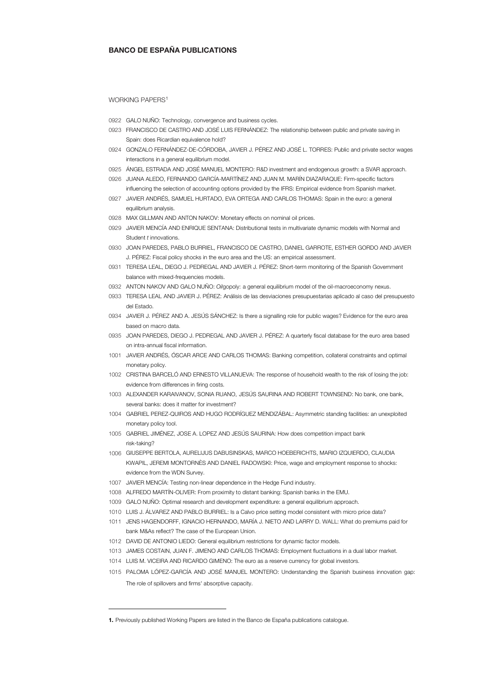#### BANCO DE ESPAÑA PUBLICATIONS

#### WORKING PAPERS<sup>[1](#page-35-0)</sup>

- 0922 GALO NUÑO: Technology, convergence and business cycles.
- 0923 FRANCISCO DE CASTRO AND JOSÉ LUIS FERNÁNDEZ: The relationship between public and private saving in Spain: does Ricardian equivalence hold?
- 0924 GONZALO FERNÁNDEZ-DE-CÓRDOBA, JAVIER J. PÉREZ AND JOSÉ L. TORRES: Public and private sector wages interactions in a general equilibrium model.
- 0925 ÁNGEL ESTRADA AND JOSÉ MANUEL MONTERO: R&D investment and endogenous growth: a SVAR approach.
- 0926 JUANA ALEDO, FERNANDO GARCÍA-MARTÍNEZ AND JUAN M. MARÍN DIAZARAQUE: Firm-specific factors influencing the selection of accounting options provided by the IFRS: Empirical evidence from Spanish market.
- 0927 JAVIER ANDRÉS, SAMUEL HURTADO, EVA ORTEGA AND CARLOS THOMAS: Spain in the euro: a general equilibrium analysis.
- 0928 MAX GILLMAN AND ANTON NAKOV: Monetary effects on nominal oil prices.
- 0929 JAVIER MENCÍA AND ENRIQUE SENTANA: Distributional tests in multivariate dynamic models with Normal and Student *t* innovations.
- 0930 JOAN PAREDES, PABLO BURRIEL, FRANCISCO DE CASTRO, DANIEL GARROTE, ESTHER GORDO AND JAVIER J. PÉREZ: Fiscal policy shocks in the euro area and the US: an empirical assessment.
- 0931 TERESA LEAL, DIEGO J. PEDREGAL AND JAVIER J. PÉREZ: Short-term monitoring of the Spanish Government balance with mixed-frequencies models.
- 0932 ANTON NAKOV AND GALO NUÑO: *Oil*gopoly: a general equilibrium model of the oil-macroeconomy nexus.
- 0933 TERESA LEAL AND JAVIER J. PÉREZ: Análisis de las desviaciones presupuestarias aplicado al caso del presupuesto del Estado.
- 0934 JAVIER J. PÉREZ AND A. JESÚS SÁNCHEZ: Is there a signalling role for public wages? Evidence for the euro area based on macro data.
- 0935 JOAN PAREDES, DIEGO J. PEDREGAL AND JAVIER J. PÉREZ: A quarterly fiscal database for the euro area based on intra-annual fiscal information.
- 1001 JAVIER ANDRÉS, ÓSCAR ARCE AND CARLOS THOMAS: Banking competition, collateral constraints and optimal monetary policy.
- 1002 CRISTINA BARCELÓ AND ERNESTO VILLANUEVA: The response of household wealth to the risk of losing the job: evidence from differences in firing costs.
- 1003 ALEXANDER KARAIVANOV, SONIA RUANO, JESÚS SAURINA AND ROBERT TOWNSEND: No bank, one bank, several banks: does it matter for investment?
- 1004 GABRIEL PEREZ-QUIROS AND HUGO RODRÍGUEZ MENDIZÁBAL: Asymmetric standing facilities: an unexploited monetary policy tool.
- 1005 GABRIEL JIMÉNEZ, JOSE A. LOPEZ AND JESÚS SAURINA: How does competition impact bank risk-taking?
- 1006 GIUSEPPE BERTOLA, AURELIJUS DABUSINSKAS, MARCO HOEBERICHTS, MARIO IZQUIERDO, CLAUDIA KWAPIL, JEREMI MONTORNÈS AND DANIEL RADOWSKI: Price, wage and employment response to shocks: evidence from the WDN Survey.
- 1007 JAVIER MENCÍA: Testing non-linear dependence in the Hedge Fund industry.
- 1008 ALFREDO MARTÍN-OLIVER: From proximity to distant banking: Spanish banks in the EMU.
- 1009 GALO NUÑO: Optimal research and development expenditure: a general equilibrium approach.
- 1010 LUIS J. ÁLVAREZ AND PABLO BURRIEL: Is a Calvo price setting model consistent with micro price data?
- 1011 JENS HAGENDORFF, IGNACIO HERNANDO, MARÍA J. NIETO AND LARRY D. WALL: What do premiums paid for bank M&As reflect? The case of the European Union.
- 1012 DAVID DE ANTONIO LIEDO: General equilibrium restrictions for dynamic factor models.
- 1013 JAMES COSTAIN, JUAN F. JIMENO AND CARLOS THOMAS: Employment fluctuations in a dual labor market.
- 1014 LUIS M. VICEIRA AND RICARDO GIMENO: The euro as a reserve currency for global investors.
- 1015 PALOMA LÓPEZ-GARCÍA AND JOSÉ MANUEL MONTERO: Understanding the Spanish business innovation gap: The role of spillovers and firms' absorptive capacity.

-

<span id="page-35-0"></span><sup>1.</sup> Previously published Working Papers are listed in the Banco de España publications catalogue.